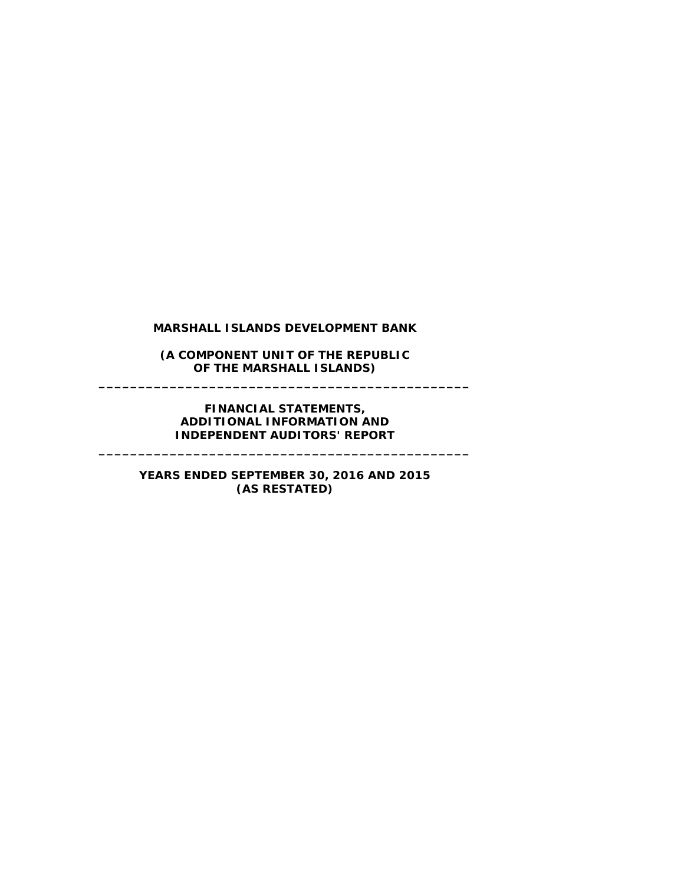**(A COMPONENT UNIT OF THE REPUBLIC OF THE MARSHALL ISLANDS) \_\_\_\_\_\_\_\_\_\_\_\_\_\_\_\_\_\_\_\_\_\_\_\_\_\_\_\_\_\_\_\_\_\_\_\_\_\_\_\_\_\_\_\_\_\_\_**

# **FINANCIAL STATEMENTS, ADDITIONAL INFORMATION AND INDEPENDENT AUDITORS' REPORT**

**\_\_\_\_\_\_\_\_\_\_\_\_\_\_\_\_\_\_\_\_\_\_\_\_\_\_\_\_\_\_\_\_\_\_\_\_\_\_\_\_\_\_\_\_\_\_\_**

# **YEARS ENDED SEPTEMBER 30, 2016 AND 2015 (AS RESTATED)**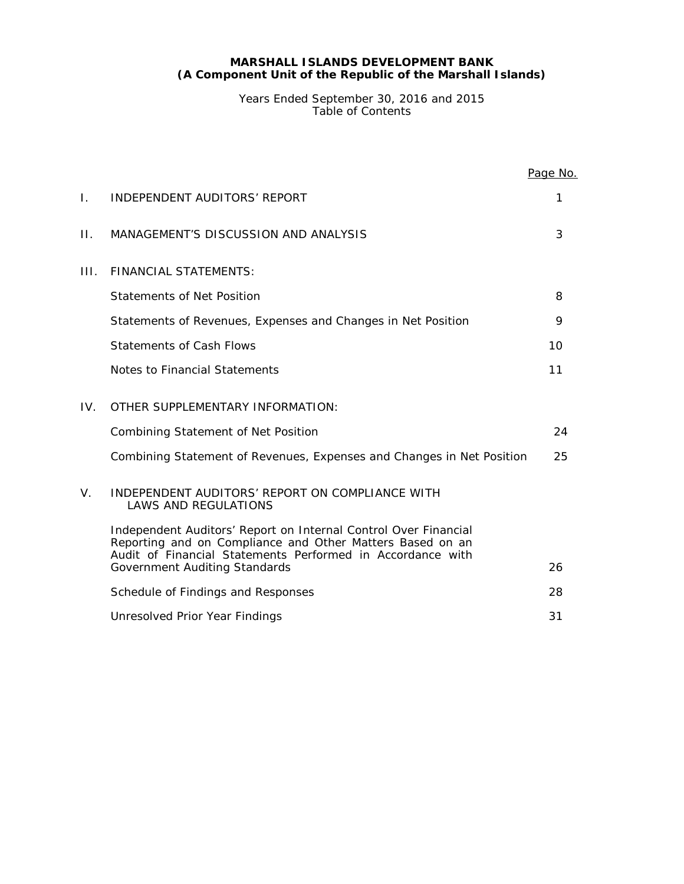Years Ended September 30, 2016 and 2015 Table of Contents

|      |                                                                                                                                                                                            | Page No. |
|------|--------------------------------------------------------------------------------------------------------------------------------------------------------------------------------------------|----------|
| I.   | <b>INDEPENDENT AUDITORS' REPORT</b>                                                                                                                                                        | 1        |
| Н.   | MANAGEMENT'S DISCUSSION AND ANALYSIS                                                                                                                                                       | 3        |
| III. | <b>FINANCIAL STATEMENTS:</b>                                                                                                                                                               |          |
|      | <b>Statements of Net Position</b>                                                                                                                                                          | 8        |
|      | Statements of Revenues, Expenses and Changes in Net Position                                                                                                                               | 9        |
|      | <b>Statements of Cash Flows</b>                                                                                                                                                            | 10       |
|      | Notes to Financial Statements                                                                                                                                                              | 11       |
| IV.  | OTHER SUPPLEMENTARY INFORMATION:                                                                                                                                                           |          |
|      | <b>Combining Statement of Net Position</b>                                                                                                                                                 | 24       |
|      | Combining Statement of Revenues, Expenses and Changes in Net Position                                                                                                                      | 25       |
| V.   | <b>INDEPENDENT AUDITORS' REPORT ON COMPLIANCE WITH</b><br><b>LAWS AND REGULATIONS</b>                                                                                                      |          |
|      | Independent Auditors' Report on Internal Control Over Financial<br>Reporting and on Compliance and Other Matters Based on an<br>Audit of Financial Statements Performed in Accordance with |          |
|      | <b>Government Auditing Standards</b>                                                                                                                                                       | 26       |
|      | Schedule of Findings and Responses                                                                                                                                                         | 28       |
|      | Unresolved Prior Year Findings                                                                                                                                                             | 31       |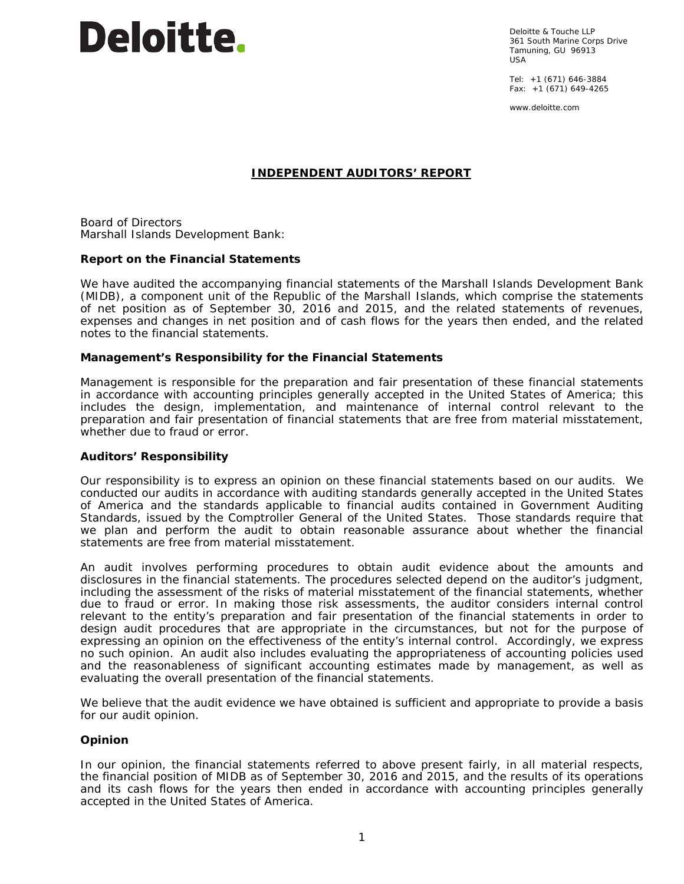

Deloitte & Touche LLP 361 South Marine Corps Drive Tamuning, GU 96913 USA

Tel: +1 (671) 646-3884 Fax: +1 (671) 649-4265

www.deloitte.com

# **INDEPENDENT AUDITORS' REPORT**

Board of Directors Marshall Islands Development Bank:

#### **Report on the Financial Statements**

We have audited the accompanying financial statements of the Marshall Islands Development Bank (MIDB), a component unit of the Republic of the Marshall Islands, which comprise the statements of net position as of September 30, 2016 and 2015, and the related statements of revenues, expenses and changes in net position and of cash flows for the years then ended, and the related notes to the financial statements.

#### *Management's Responsibility for the Financial Statements*

Management is responsible for the preparation and fair presentation of these financial statements in accordance with accounting principles generally accepted in the United States of America; this includes the design, implementation, and maintenance of internal control relevant to the preparation and fair presentation of financial statements that are free from material misstatement, whether due to fraud or error.

#### *Auditors' Responsibility*

Our responsibility is to express an opinion on these financial statements based on our audits. We conducted our audits in accordance with auditing standards generally accepted in the United States of America and the standards applicable to financial audits contained in *Government Auditing Standards,* issued by the Comptroller General of the United States. Those standards require that we plan and perform the audit to obtain reasonable assurance about whether the financial statements are free from material misstatement.

An audit involves performing procedures to obtain audit evidence about the amounts and disclosures in the financial statements. The procedures selected depend on the auditor's judgment, including the assessment of the risks of material misstatement of the financial statements, whether due to fraud or error. In making those risk assessments, the auditor considers internal control relevant to the entity's preparation and fair presentation of the financial statements in order to design audit procedures that are appropriate in the circumstances, but not for the purpose of expressing an opinion on the effectiveness of the entity's internal control. Accordingly, we express no such opinion. An audit also includes evaluating the appropriateness of accounting policies used and the reasonableness of significant accounting estimates made by management, as well as evaluating the overall presentation of the financial statements.

We believe that the audit evidence we have obtained is sufficient and appropriate to provide a basis for our audit opinion.

#### *Opinion*

In our opinion, the financial statements referred to above present fairly, in all material respects, the financial position of MIDB as of September 30, 2016 and 2015, and the results of its operations and its cash flows for the years then ended in accordance with accounting principles generally accepted in the United States of America.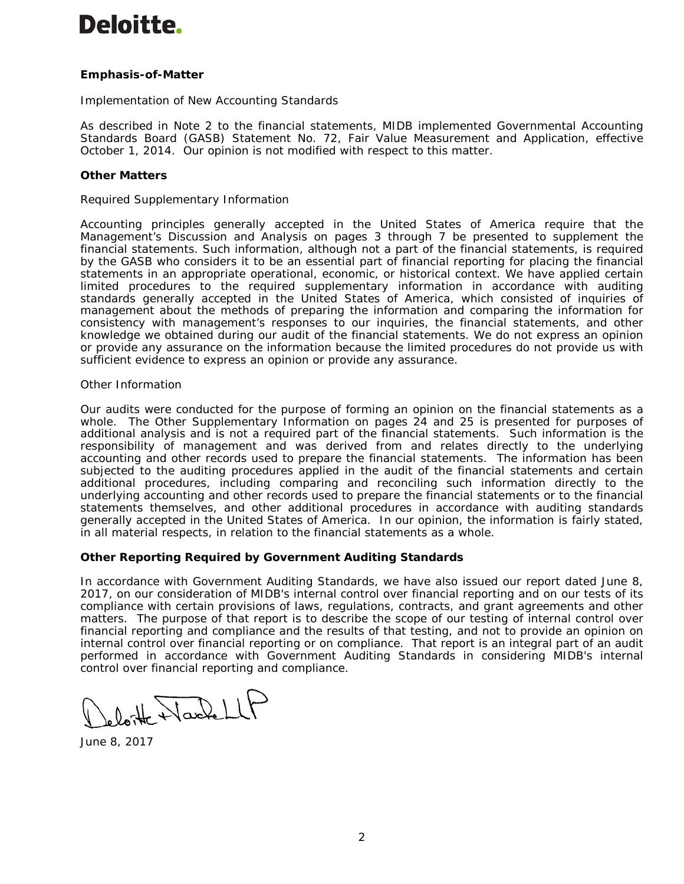# **Deloitte.**

# *Emphasis-of-Matter*

# *Implementation of New Accounting Standards*

As described in Note 2 to the financial statements, MIDB implemented Governmental Accounting Standards Board (GASB) Statement No. 72, *Fair Value Measurement and Application*, effective October 1, 2014. Our opinion is not modified with respect to this matter.

# *Other Matters*

# *Required Supplementary Information*

Accounting principles generally accepted in the United States of America require that the Management's Discussion and Analysis on pages 3 through 7 be presented to supplement the financial statements. Such information, although not a part of the financial statements, is required by the GASB who considers it to be an essential part of financial reporting for placing the financial statements in an appropriate operational, economic, or historical context. We have applied certain limited procedures to the required supplementary information in accordance with auditing standards generally accepted in the United States of America, which consisted of inquiries of management about the methods of preparing the information and comparing the information for consistency with management's responses to our inquiries, the financial statements, and other knowledge we obtained during our audit of the financial statements. We do not express an opinion or provide any assurance on the information because the limited procedures do not provide us with sufficient evidence to express an opinion or provide any assurance.

#### *Other Information*

Our audits were conducted for the purpose of forming an opinion on the financial statements as a whole. The Other Supplementary Information on pages 24 and 25 is presented for purposes of additional analysis and is not a required part of the financial statements. Such information is the responsibility of management and was derived from and relates directly to the underlying accounting and other records used to prepare the financial statements. The information has been subjected to the auditing procedures applied in the audit of the financial statements and certain additional procedures, including comparing and reconciling such information directly to the underlying accounting and other records used to prepare the financial statements or to the financial statements themselves, and other additional procedures in accordance with auditing standards generally accepted in the United States of America. In our opinion, the information is fairly stated, in all material respects, in relation to the financial statements as a whole.

#### **Other Reporting Required by** *Government Auditing Standards*

In accordance with *Government Auditing Standards*, we have also issued our report dated June 8, 2017, on our consideration of MIDB's internal control over financial reporting and on our tests of its compliance with certain provisions of laws, regulations, contracts, and grant agreements and other matters. The purpose of that report is to describe the scope of our testing of internal control over financial reporting and compliance and the results of that testing, and not to provide an opinion on internal control over financial reporting or on compliance. That report is an integral part of an audit performed in accordance with *Government Auditing Standards* in considering MIDB's internal control over financial reporting and compliance.

lotte Wackell

June 8, 2017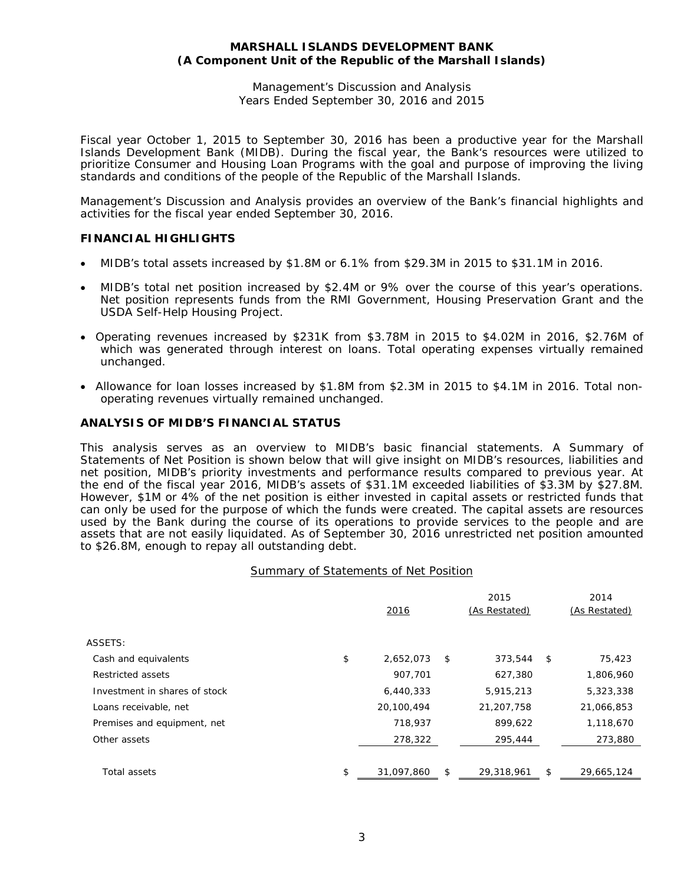Management's Discussion and Analysis Years Ended September 30, 2016 and 2015

Fiscal year October 1, 2015 to September 30, 2016 has been a productive year for the Marshall Islands Development Bank (MIDB). During the fiscal year, the Bank's resources were utilized to prioritize Consumer and Housing Loan Programs with the goal and purpose of improving the living standards and conditions of the people of the Republic of the Marshall Islands.

Management's Discussion and Analysis provides an overview of the Bank's financial highlights and activities for the fiscal year ended September 30, 2016.

# **FINANCIAL HIGHLIGHTS**

- MIDB's total assets increased by \$1.8M or 6.1% from \$29.3M in 2015 to \$31.1M in 2016.
- MIDB's total net position increased by \$2.4M or 9% over the course of this year's operations. Net position represents funds from the RMI Government, Housing Preservation Grant and the USDA Self-Help Housing Project.
- Operating revenues increased by \$231K from \$3.78M in 2015 to \$4.02M in 2016, \$2.76M of which was generated through interest on loans. Total operating expenses virtually remained unchanged.
- Allowance for loan losses increased by \$1.8M from \$2.3M in 2015 to \$4.1M in 2016. Total nonoperating revenues virtually remained unchanged.

# **ANALYSIS OF MIDB'S FINANCIAL STATUS**

This analysis serves as an overview to MIDB's basic financial statements. A Summary of Statements of Net Position is shown below that will give insight on MIDB's resources, liabilities and net position, MIDB's priority investments and performance results compared to previous year. At the end of the fiscal year 2016, MIDB's assets of \$31.1M exceeded liabilities of \$3.3M by \$27.8M. However, \$1M or 4% of the net position is either invested in capital assets or restricted funds that can only be used for the purpose of which the funds were created. The capital assets are resources used by the Bank during the course of its operations to provide services to the people and are assets that are not easily liquidated. As of September 30, 2016 unrestricted net position amounted to \$26.8M, enough to repay all outstanding debt.

#### Summary of Statements of Net Position

| 2016            |            | 2015<br>(As Restated) |            | 2014<br>(As Restated) |
|-----------------|------------|-----------------------|------------|-----------------------|
|                 |            |                       |            |                       |
| \$<br>2,652,073 | \$         | 373,544               | \$         | 75,423                |
| 907,701         |            | 627,380               |            | 1,806,960             |
| 6,440,333       |            | 5,915,213             |            | 5,323,338             |
| 20,100,494      |            | 21,207,758            |            | 21,066,853            |
| 718,937         |            | 899,622               |            | 1,118,670             |
| 278,322         |            | 295,444               |            | 273,880               |
|                 |            |                       |            | 29,665,124            |
| \$              | 31,097,860 | S                     | 29,318,961 | \$                    |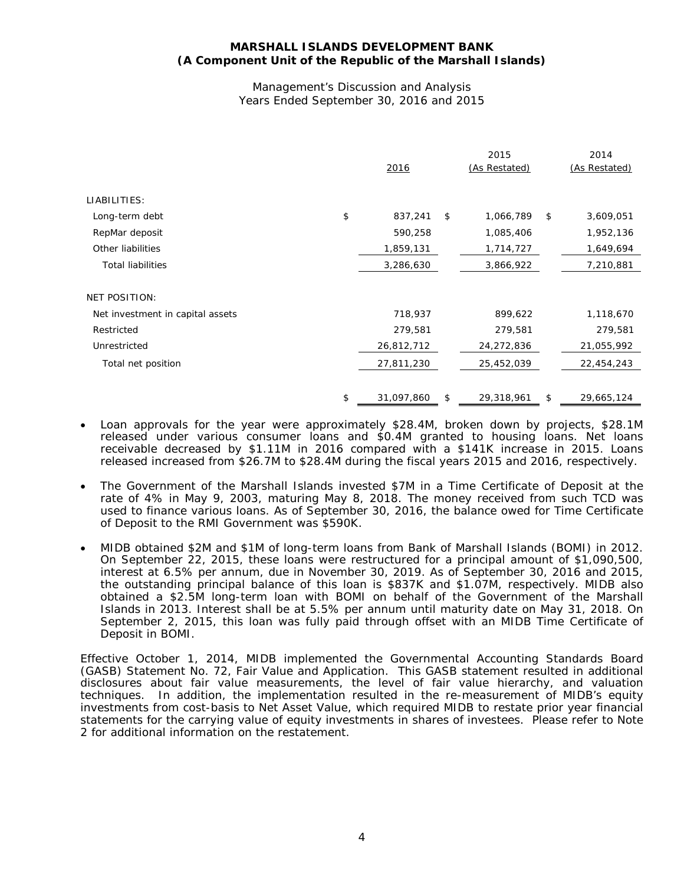#### Management's Discussion and Analysis Years Ended September 30, 2016 and 2015

|                                  | 2016             | 2015<br>(As Restated) | 2014<br>(As Restated) |
|----------------------------------|------------------|-----------------------|-----------------------|
| LIABILITIES:                     |                  |                       |                       |
| Long-term debt                   | \$<br>837,241    | \$<br>1,066,789       | \$<br>3,609,051       |
| RepMar deposit                   | 590,258          | 1,085,406             | 1,952,136             |
| Other liabilities                | 1,859,131        | 1,714,727             | 1,649,694             |
| <b>Total liabilities</b>         | 3,286,630        | 3,866,922             | 7,210,881             |
|                                  |                  |                       |                       |
| <b>NET POSITION:</b>             |                  |                       |                       |
| Net investment in capital assets | 718,937          | 899,622               | 1,118,670             |
| Restricted                       | 279,581          | 279,581               | 279,581               |
| Unrestricted                     | 26,812,712       | 24,272,836            | 21,055,992            |
| Total net position               | 27,811,230       | 25,452,039            | 22,454,243            |
|                                  |                  |                       |                       |
|                                  | \$<br>31,097,860 | \$<br>29,318,961      | \$<br>29,665,124      |

- Loan approvals for the year were approximately \$28.4M, broken down by projects, \$28.1M released under various consumer loans and \$0.4M granted to housing loans. Net loans receivable decreased by \$1.11M in 2016 compared with a \$141K increase in 2015. Loans released increased from \$26.7M to \$28.4M during the fiscal years 2015 and 2016, respectively.
- The Government of the Marshall Islands invested \$7M in a Time Certificate of Deposit at the rate of 4% in May 9, 2003, maturing May 8, 2018. The money received from such TCD was used to finance various loans. As of September 30, 2016, the balance owed for Time Certificate of Deposit to the RMI Government was \$590K.
- MIDB obtained \$2M and \$1M of long-term loans from Bank of Marshall Islands (BOMI) in 2012. On September 22, 2015, these loans were restructured for a principal amount of \$1,090,500, interest at 6.5% per annum, due in November 30, 2019. As of September 30, 2016 and 2015, the outstanding principal balance of this loan is \$837K and \$1.07M, respectively. MIDB also obtained a \$2.5M long-term loan with BOMI on behalf of the Government of the Marshall Islands in 2013. Interest shall be at 5.5% per annum until maturity date on May 31, 2018. On September 2, 2015, this loan was fully paid through offset with an MIDB Time Certificate of Deposit in BOMI.

Effective October 1, 2014, MIDB implemented the Governmental Accounting Standards Board (GASB) Statement No. 72, Fair Value and Application. This GASB statement resulted in additional disclosures about fair value measurements, the level of fair value hierarchy, and valuation techniques. In addition, the implementation resulted in the re-measurement of MIDB's equity investments from cost-basis to Net Asset Value, which required MIDB to restate prior year financial statements for the carrying value of equity investments in shares of investees. Please refer to Note 2 for additional information on the restatement.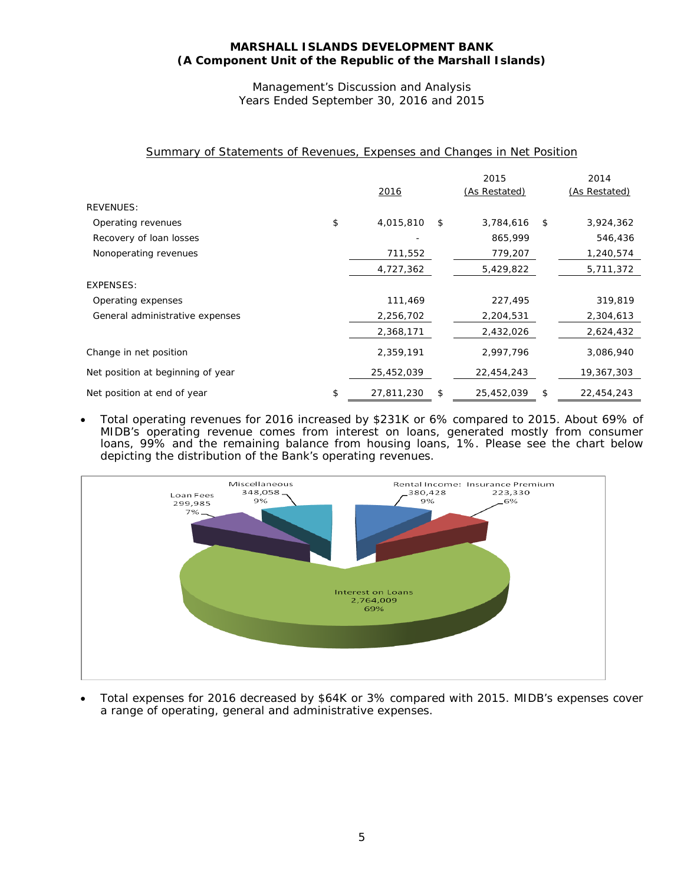Management's Discussion and Analysis Years Ended September 30, 2016 and 2015

|  | Summary of Statements of Revenues, Expenses and Changes in Net Position |  |  |  |  |  |
|--|-------------------------------------------------------------------------|--|--|--|--|--|
|  |                                                                         |  |  |  |  |  |

| <b>REVENUES:</b>                  | 2016             | 2015<br>(As Restated) | 2014<br>(As Restated) |
|-----------------------------------|------------------|-----------------------|-----------------------|
|                                   |                  |                       |                       |
| Operating revenues                | \$<br>4,015,810  | \$<br>3,784,616       | \$<br>3,924,362       |
| Recovery of loan losses           |                  | 865,999               | 546,436               |
| Nonoperating revenues             | 711,552          | 779,207               | 1,240,574             |
|                                   | 4,727,362        | 5,429,822             | 5,711,372             |
| EXPENSES:                         |                  |                       |                       |
| Operating expenses                | 111,469          | 227,495               | 319,819               |
| General administrative expenses   | 2,256,702        | 2,204,531             | 2,304,613             |
|                                   | 2,368,171        | 2,432,026             | 2,624,432             |
| Change in net position            | 2,359,191        | 2,997,796             | 3,086,940             |
| Net position at beginning of year | 25,452,039       | 22,454,243            | 19,367,303            |
| Net position at end of year       | \$<br>27,811,230 | \$<br>25,452,039      | \$<br>22,454,243      |

• Total operating revenues for 2016 increased by \$231K or 6% compared to 2015. About 69% of MIDB's operating revenue comes from interest on loans, generated mostly from consumer loans, 99% and the remaining balance from housing loans, 1%. Please see the chart below depicting the distribution of the Bank's operating revenues.



• Total expenses for 2016 decreased by \$64K or 3% compared with 2015. MIDB's expenses cover a range of operating, general and administrative expenses.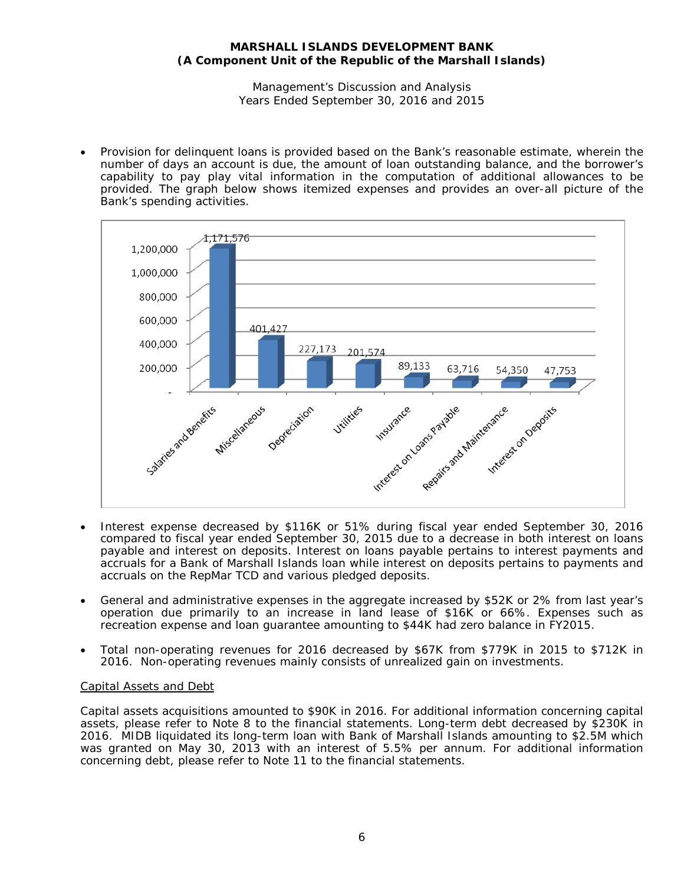Management's Discussion and Analysis Years Ended September 30, 2016 and 2015

• Provision for delinquent loans is provided based on the Bank's reasonable estimate, wherein the number of days an account is due, the amount of loan outstanding balance, and the borrower's capability to pay play vital information in the computation of additional allowances to be provided. The graph below shows itemized expenses and provides an over-all picture of the Bank's spending activities.



- Interest expense decreased by \$116K or 51% during fiscal year ended September 30, 2016 compared to fiscal year ended September 30, 2015 due to a decrease in both interest on loans payable and interest on deposits. Interest on loans payable pertains to interest payments and accruals for a Bank of Marshall Islands loan while interest on deposits pertains to payments and accruals on the RepMar TCD and various pledged deposits.
- General and administrative expenses in the aggregate increased by \$52K or 2% from last year's operation due primarily to an increase in land lease of \$16K or 66%. Expenses such as recreation expense and loan guarantee amounting to \$44K had zero balance in FY2015.
- Total non-operating revenues for 2016 decreased by \$67K from \$779K in 2015 to \$712K in 2016. Non-operating revenues mainly consists of unrealized gain on investments.

# Capital Assets and Debt

Capital assets acquisitions amounted to \$90K in 2016. For additional information concerning capital assets, please refer to Note 8 to the financial statements. Long-term debt decreased by \$230K in 2016. MIDB liquidated its long-term loan with Bank of Marshall Islands amounting to \$2.5M which was granted on May 30, 2013 with an interest of 5.5% per annum. For additional information concerning debt, please refer to Note 11 to the financial statements.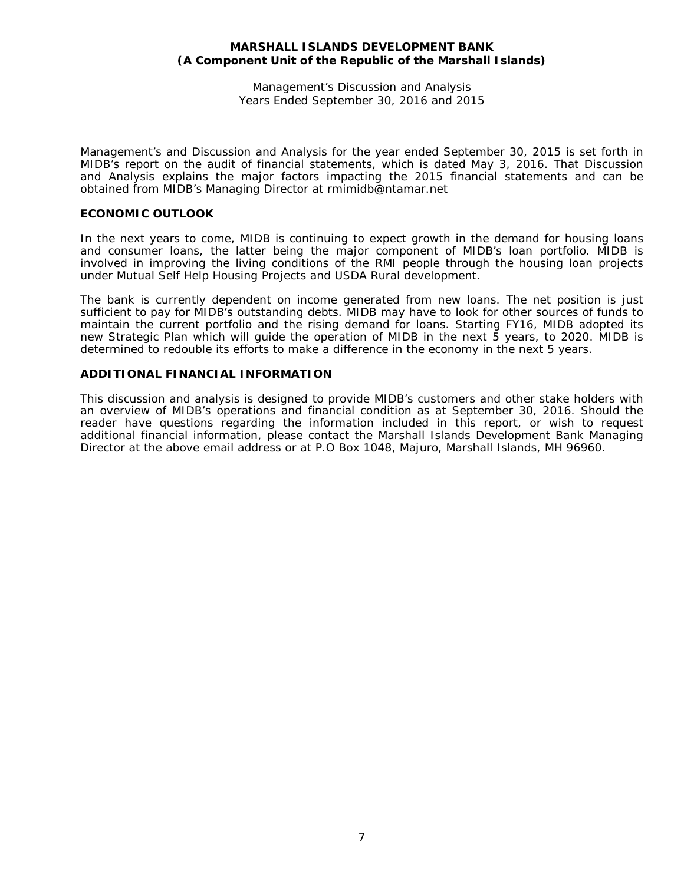Management's Discussion and Analysis Years Ended September 30, 2016 and 2015

Management's and Discussion and Analysis for the year ended September 30, 2015 is set forth in MIDB's report on the audit of financial statements, which is dated May 3, 2016. That Discussion and Analysis explains the major factors impacting the 2015 financial statements and can be obtained from MIDB's Managing Director at [rmimidb@ntamar.net](mailto:rmimidb@ntamar.net)

# **ECONOMIC OUTLOOK**

In the next years to come, MIDB is continuing to expect growth in the demand for housing loans and consumer loans, the latter being the major component of MIDB's loan portfolio. MIDB is involved in improving the living conditions of the RMI people through the housing loan projects under Mutual Self Help Housing Projects and USDA Rural development.

The bank is currently dependent on income generated from new loans. The net position is just sufficient to pay for MIDB's outstanding debts. MIDB may have to look for other sources of funds to maintain the current portfolio and the rising demand for loans. Starting FY16, MIDB adopted its new Strategic Plan which will guide the operation of MIDB in the next 5 years, to 2020. MIDB is determined to redouble its efforts to make a difference in the economy in the next 5 years.

# **ADDITIONAL FINANCIAL INFORMATION**

This discussion and analysis is designed to provide MIDB's customers and other stake holders with an overview of MIDB's operations and financial condition as at September 30, 2016. Should the reader have questions regarding the information included in this report, or wish to request additional financial information, please contact the Marshall Islands Development Bank Managing Director at the above email address or at P.O Box 1048, Majuro, Marshall Islands, MH 96960.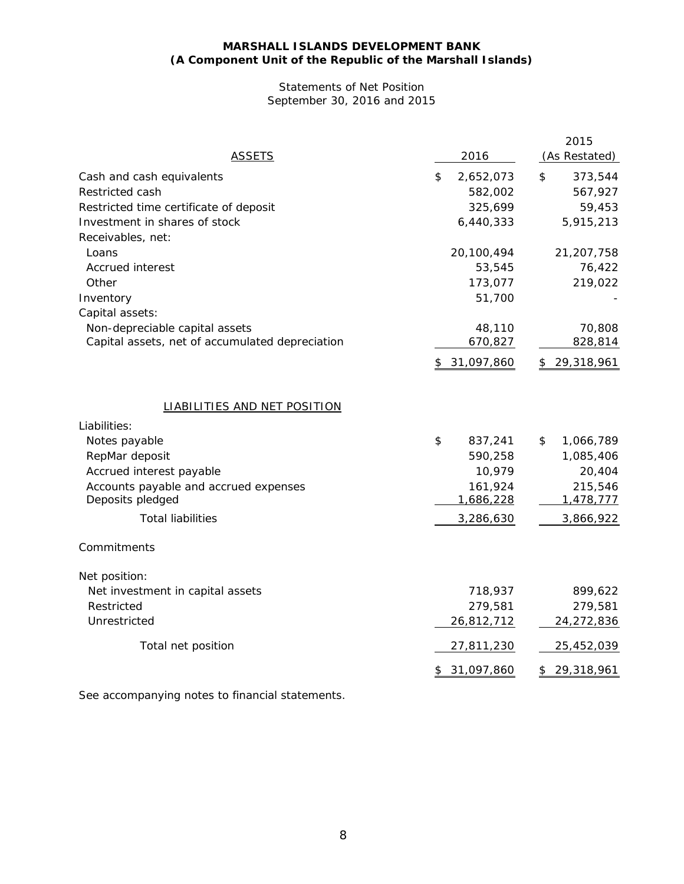# Statements of Net Position September 30, 2016 and 2015

| <b>ASSETS</b>                                   | 2016            | 2015<br>(As Restated) |
|-------------------------------------------------|-----------------|-----------------------|
| Cash and cash equivalents                       | \$<br>2,652,073 | \$<br>373,544         |
| Restricted cash                                 | 582,002         | 567,927               |
| Restricted time certificate of deposit          | 325,699         | 59,453                |
| Investment in shares of stock                   | 6,440,333       | 5,915,213             |
| Receivables, net:                               |                 |                       |
| Loans                                           | 20,100,494      | 21,207,758            |
| <b>Accrued interest</b>                         | 53,545          | 76,422                |
| Other                                           | 173,077         | 219,022               |
| Inventory                                       | 51,700          |                       |
| Capital assets:                                 |                 |                       |
| Non-depreciable capital assets                  | 48,110          | 70,808                |
| Capital assets, net of accumulated depreciation | 670,827         | 828,814               |
|                                                 | 31,097,860      | 29,318,961<br>\$      |
| <b>LIABILITIES AND NET POSITION</b>             |                 |                       |
| Liabilities:                                    |                 |                       |
| Notes payable                                   | \$<br>837,241   | \$<br>1,066,789       |
| RepMar deposit                                  | 590,258         | 1,085,406             |
| Accrued interest payable                        | 10,979          | 20,404                |
| Accounts payable and accrued expenses           | 161,924         | 215,546               |
| Deposits pledged                                | 1,686,228       | 1,478,777             |
| <b>Total liabilities</b>                        | 3,286,630       | 3,866,922             |
| Commitments                                     |                 |                       |
| Net position:                                   |                 |                       |
| Net investment in capital assets                | 718,937         | 899,622               |
| Restricted                                      | 279,581         | 279,581               |
| Unrestricted                                    | 26,812,712      | 24,272,836            |
| Total net position                              | 27,811,230      | 25,452,039            |
|                                                 | 31,097,860      | 29,318,961            |
|                                                 |                 |                       |

See accompanying notes to financial statements.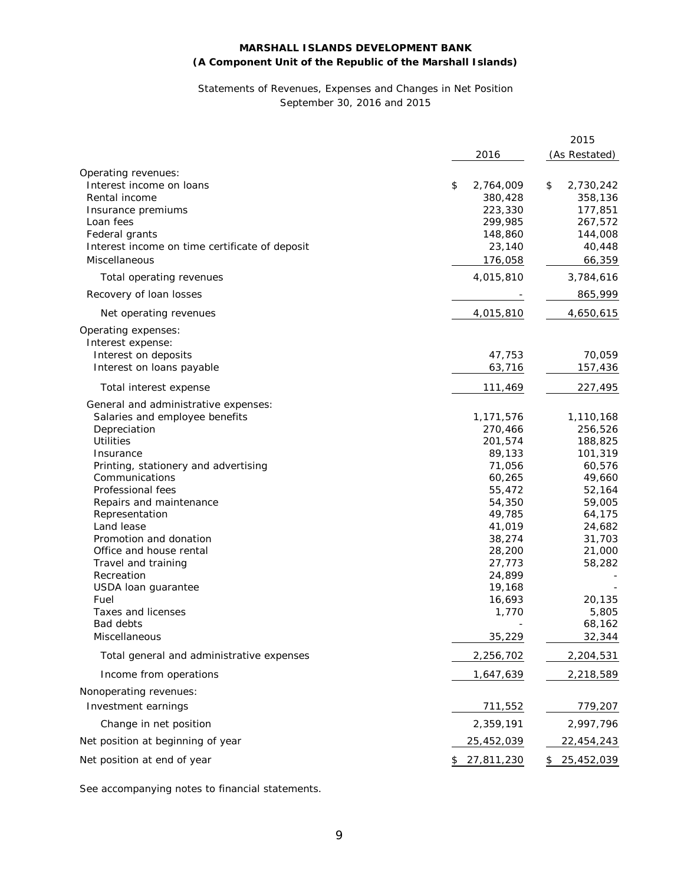### Statements of Revenues, Expenses and Changes in Net Position September 30, 2016 and 2015

|                                                |                   | 2015             |
|------------------------------------------------|-------------------|------------------|
|                                                | 2016              | (As Restated)    |
| Operating revenues:                            |                   |                  |
| Interest income on loans                       | \$<br>2,764,009   | 2,730,242<br>\$  |
| Rental income                                  | 380,428           | 358,136          |
| Insurance premiums                             | 223,330           | 177,851          |
| Loan fees                                      | 299,985           | 267,572          |
| Federal grants                                 | 148,860           | 144,008          |
| Interest income on time certificate of deposit | 23,140            | 40,448           |
|                                                |                   |                  |
| Miscellaneous                                  | 176,058           | 66,359           |
| Total operating revenues                       | 4,015,810         | 3,784,616        |
| Recovery of loan losses                        |                   | 865,999          |
| Net operating revenues                         | 4,015,810         | 4,650,615        |
| Operating expenses:                            |                   |                  |
| Interest expense:                              |                   |                  |
| Interest on deposits                           | 47,753            | 70,059           |
| Interest on loans payable                      | 63,716            | 157,436          |
| Total interest expense                         | 111,469           | 227,495          |
| General and administrative expenses:           |                   |                  |
| Salaries and employee benefits                 | 1,171,576         | 1,110,168        |
| Depreciation                                   | 270,466           | 256,526          |
| <b>Utilities</b>                               | 201,574           | 188,825          |
| Insurance                                      | 89,133            | 101,319          |
| Printing, stationery and advertising           | 71,056            | 60,576           |
| Communications                                 | 60,265            | 49,660           |
| Professional fees                              | 55,472            | 52,164           |
| Repairs and maintenance                        | 54,350            | 59,005           |
| Representation                                 | 49,785            |                  |
| Land lease                                     |                   | 64,175           |
|                                                | 41,019            | 24,682           |
| Promotion and donation                         | 38,274            | 31,703           |
| Office and house rental                        | 28,200            | 21,000           |
| Travel and training                            | 27,773            | 58,282           |
| Recreation                                     | 24,899            |                  |
| USDA loan guarantee                            | 19,168            |                  |
| Fuel                                           | 16,693            | 20,135           |
| <b>Taxes and licenses</b>                      | 1,770             | 5,805            |
| Bad debts                                      |                   | 68,162           |
| Miscellaneous                                  | 35,229            | 32,344           |
| Total general and administrative expenses      | 2,256,702         | 2,204,531        |
| Income from operations                         | 1,647,639         | 2,218,589        |
| Nonoperating revenues:                         |                   |                  |
| Investment earnings                            | 711,552           | 779,207          |
| Change in net position                         | 2,359,191         | 2,997,796        |
| Net position at beginning of year              | 25,452,039        | 22,454,243       |
| Net position at end of year                    | 27,811,230<br>\$. | 25,452,039<br>\$ |
|                                                |                   |                  |

See accompanying notes to financial statements.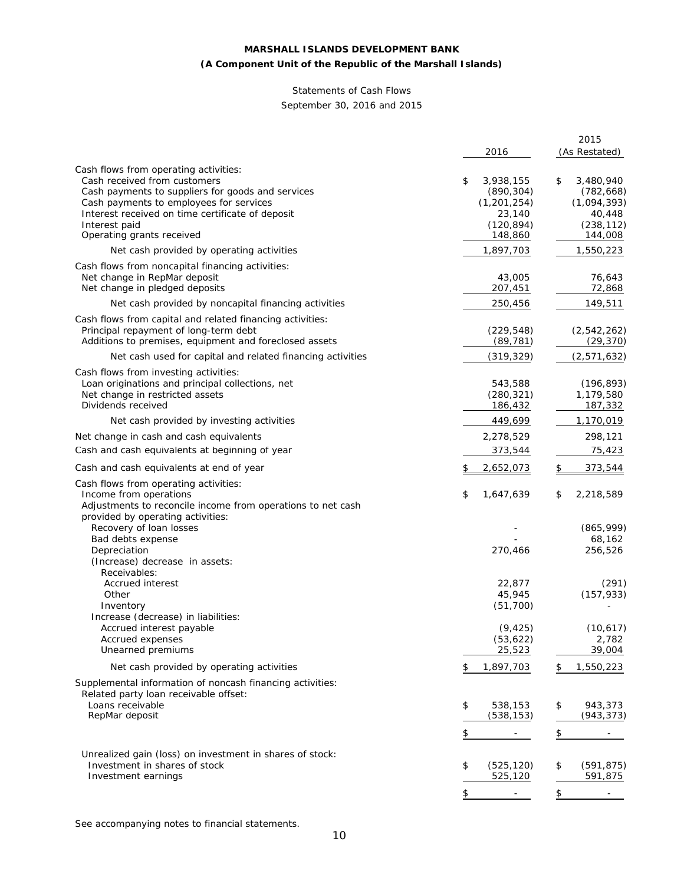# **(A Component Unit of the Republic of the Marshall Islands)**

# Statements of Cash Flows

September 30, 2016 and 2015

|                                                             |                                | 2015                           |
|-------------------------------------------------------------|--------------------------------|--------------------------------|
|                                                             | 2016                           | (As Restated)                  |
| Cash flows from operating activities:                       |                                |                                |
| Cash received from customers                                | 3,938,155<br>\$                | \$<br>3,480,940                |
| Cash payments to suppliers for goods and services           | (890, 304)                     | (782, 668)                     |
| Cash payments to employees for services                     | (1, 201, 254)                  | (1,094,393)                    |
| Interest received on time certificate of deposit            | 23,140                         | 40,448                         |
| Interest paid                                               | (120, 894)                     | (238, 112)                     |
| Operating grants received                                   | 148,860                        | 144,008                        |
| Net cash provided by operating activities                   | 1,897,703                      | 1,550,223                      |
| Cash flows from noncapital financing activities:            |                                |                                |
| Net change in RepMar deposit                                | 43,005                         | 76,643                         |
| Net change in pledged deposits                              | 207,451                        | 72,868                         |
| Net cash provided by noncapital financing activities        | 250,456                        | 149,511                        |
| Cash flows from capital and related financing activities:   |                                |                                |
| Principal repayment of long-term debt                       | (229, 548)                     | (2, 542, 262)                  |
| Additions to premises, equipment and foreclosed assets      | (89, 781)                      | (29, 370)                      |
| Net cash used for capital and related financing activities  | (319, 329)                     | (2, 571, 632)                  |
| Cash flows from investing activities:                       |                                |                                |
| Loan originations and principal collections, net            | 543,588                        | (196, 893)                     |
| Net change in restricted assets                             | (280, 321)                     | 1,179,580                      |
| Dividends received                                          | 186,432                        | 187,332                        |
| Net cash provided by investing activities                   | 449,699                        | 1,170,019                      |
| Net change in cash and cash equivalents                     | 2,278,529                      | 298,121                        |
| Cash and cash equivalents at beginning of year              | 373,544                        | 75,423                         |
| Cash and cash equivalents at end of year                    | \$<br>2,652,073                | \$<br>373,544                  |
| Cash flows from operating activities:                       |                                |                                |
| Income from operations                                      | \$<br>1,647,639                | \$<br>2,218,589                |
| Adjustments to reconcile income from operations to net cash |                                |                                |
| provided by operating activities:                           |                                |                                |
| Recovery of loan losses                                     |                                | (865, 999)<br>68,162           |
| Bad debts expense<br>Depreciation                           | 270,466                        | 256,526                        |
| (Increase) decrease in assets:                              |                                |                                |
| Receivables:                                                |                                |                                |
| Accrued interest                                            | 22,877                         | (291)                          |
| Other                                                       | 45,945                         | (157, 933)                     |
| Inventory                                                   | (51, 700)                      |                                |
| Increase (decrease) in liabilities:                         |                                |                                |
| Accrued interest payable                                    | (9, 425)                       | (10, 617)                      |
| Accrued expenses                                            | (53, 622)                      | 2,782                          |
| Unearned premiums                                           | 25,523                         | 39,004                         |
| Net cash provided by operating activities                   | 1,897,703<br>\$                | 1,550,223<br>\$                |
| Supplemental information of noncash financing activities:   |                                |                                |
| Related party loan receivable offset:                       |                                |                                |
| Loans receivable                                            | \$<br>538,153                  | \$<br>943,373                  |
| RepMar deposit                                              | (538, 153)                     | (943, 373)                     |
|                                                             | \$                             | \$                             |
| Unrealized gain (loss) on investment in shares of stock:    |                                |                                |
| Investment in shares of stock                               | \$<br>(525, 120)               | \$<br>(591, 875)               |
| Investment earnings                                         | 525,120                        | 591,875                        |
|                                                             |                                |                                |
|                                                             | \$<br>$\overline{\phantom{a}}$ | \$<br>$\overline{\phantom{a}}$ |

See accompanying notes to financial statements.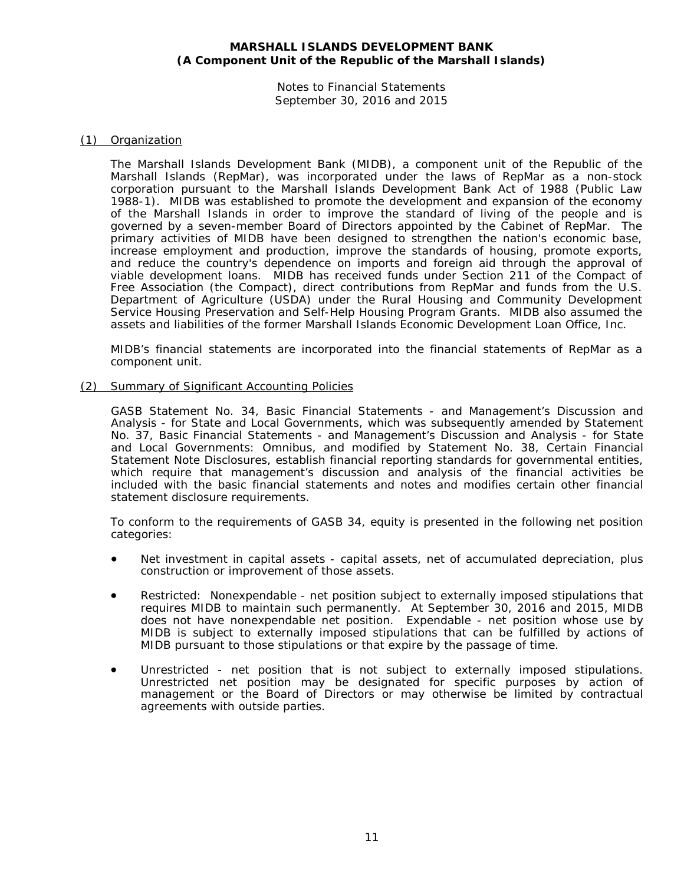Notes to Financial Statements September 30, 2016 and 2015

#### (1) Organization

The Marshall Islands Development Bank (MIDB), a component unit of the Republic of the Marshall Islands (RepMar), was incorporated under the laws of RepMar as a non-stock corporation pursuant to the Marshall Islands Development Bank Act of 1988 (Public Law 1988-1). MIDB was established to promote the development and expansion of the economy of the Marshall Islands in order to improve the standard of living of the people and is governed by a seven-member Board of Directors appointed by the Cabinet of RepMar. The primary activities of MIDB have been designed to strengthen the nation's economic base, increase employment and production, improve the standards of housing, promote exports, and reduce the country's dependence on imports and foreign aid through the approval of viable development loans. MIDB has received funds under Section 211 of the Compact of Free Association (the Compact), direct contributions from RepMar and funds from the U.S. Department of Agriculture (USDA) under the Rural Housing and Community Development Service Housing Preservation and Self-Help Housing Program Grants. MIDB also assumed the assets and liabilities of the former Marshall Islands Economic Development Loan Office, Inc.

MIDB's financial statements are incorporated into the financial statements of RepMar as a component unit.

#### (2) Summary of Significant Accounting Policies

GASB Statement No. 34, *Basic Financial Statements - and Management's Discussion and Analysis - for State and Local Governments*, which was subsequently amended by Statement No. 37, *Basic Financial Statements - and Management's Discussion and Analysis - for State and Local Governments: Omnibus*, and modified by Statement No. 38, *Certain Financial Statement Note Disclosures,* establish financial reporting standards for governmental entities, which require that management's discussion and analysis of the financial activities be included with the basic financial statements and notes and modifies certain other financial statement disclosure requirements.

To conform to the requirements of GASB 34, equity is presented in the following net position categories:

- Net investment in capital assets capital assets, net of accumulated depreciation, plus construction or improvement of those assets.
- Restricted: Nonexpendable net position subject to externally imposed stipulations that requires MIDB to maintain such permanently. At September 30, 2016 and 2015, MIDB does not have nonexpendable net position. Expendable - net position whose use by MIDB is subject to externally imposed stipulations that can be fulfilled by actions of MIDB pursuant to those stipulations or that expire by the passage of time.
- Unrestricted net position that is not subject to externally imposed stipulations. Unrestricted net position may be designated for specific purposes by action of management or the Board of Directors or may otherwise be limited by contractual agreements with outside parties.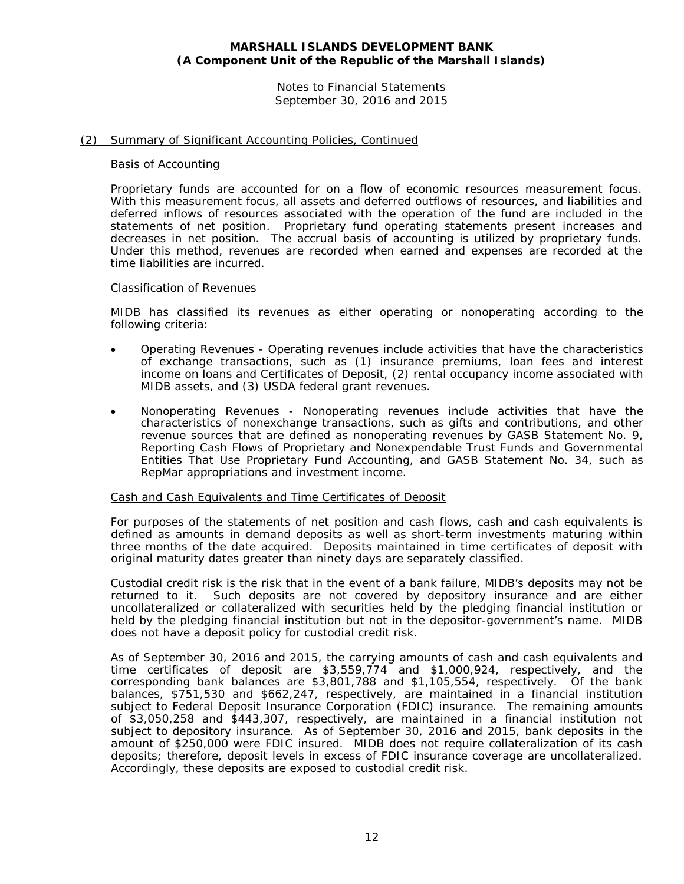Notes to Financial Statements September 30, 2016 and 2015

# (2) Summary of Significant Accounting Policies, Continued

#### Basis of Accounting

Proprietary funds are accounted for on a flow of economic resources measurement focus. With this measurement focus, all assets and deferred outflows of resources, and liabilities and deferred inflows of resources associated with the operation of the fund are included in the statements of net position. Proprietary fund operating statements present increases and decreases in net position. The accrual basis of accounting is utilized by proprietary funds. Under this method, revenues are recorded when earned and expenses are recorded at the time liabilities are incurred.

#### Classification of Revenues

MIDB has classified its revenues as either operating or nonoperating according to the following criteria:

- *Operating Revenues* Operating revenues include activities that have the characteristics of exchange transactions, such as (1) insurance premiums, loan fees and interest income on loans and Certificates of Deposit, (2) rental occupancy income associated with MIDB assets, and (3) USDA federal grant revenues.
- *Nonoperating Revenues* Nonoperating revenues include activities that have the characteristics of nonexchange transactions, such as gifts and contributions, and other revenue sources that are defined as nonoperating revenues by GASB Statement No. 9, *Reporting Cash Flows of Proprietary and Nonexpendable Trust Funds and Governmental Entities That Use Proprietary Fund Accounting*, and GASB Statement No. 34, such as RepMar appropriations and investment income.

# Cash and Cash Equivalents and Time Certificates of Deposit

For purposes of the statements of net position and cash flows, cash and cash equivalents is defined as amounts in demand deposits as well as short-term investments maturing within three months of the date acquired. Deposits maintained in time certificates of deposit with original maturity dates greater than ninety days are separately classified.

Custodial credit risk is the risk that in the event of a bank failure, MIDB's deposits may not be returned to it. Such deposits are not covered by depository insurance and are either uncollateralized or collateralized with securities held by the pledging financial institution or held by the pledging financial institution but not in the depositor-government's name. MIDB does not have a deposit policy for custodial credit risk.

As of September 30, 2016 and 2015, the carrying amounts of cash and cash equivalents and time certificates of deposit are \$3,559,774 and \$1,000,924, respectively, and the corresponding bank balances are \$3,801,788 and \$1,105,554, respectively. Of the bank balances, \$751,530 and \$662,247, respectively, are maintained in a financial institution subject to Federal Deposit Insurance Corporation (FDIC) insurance. The remaining amounts of \$3,050,258 and \$443,307, respectively, are maintained in a financial institution not subject to depository insurance. As of September 30, 2016 and 2015, bank deposits in the amount of \$250,000 were FDIC insured. MIDB does not require collateralization of its cash deposits; therefore, deposit levels in excess of FDIC insurance coverage are uncollateralized. Accordingly, these deposits are exposed to custodial credit risk.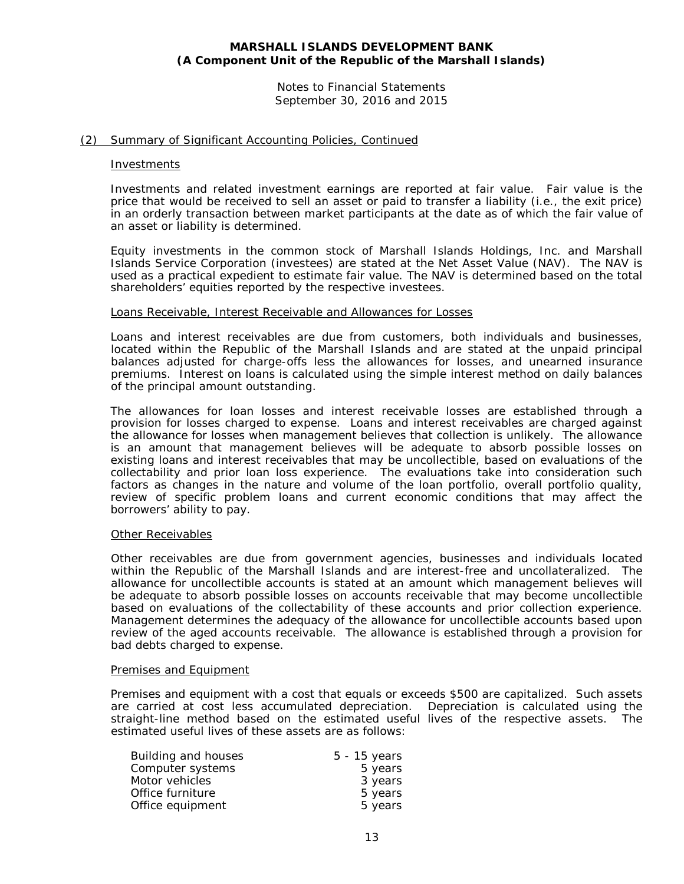Notes to Financial Statements September 30, 2016 and 2015

# (2) Summary of Significant Accounting Policies, Continued

#### Investments

Investments and related investment earnings are reported at fair value. Fair value is the price that would be received to sell an asset or paid to transfer a liability (i.e., the exit price) in an orderly transaction between market participants at the date as of which the fair value of an asset or liability is determined.

Equity investments in the common stock of Marshall Islands Holdings, Inc. and Marshall Islands Service Corporation (investees) are stated at the Net Asset Value (NAV). The NAV is used as a practical expedient to estimate fair value. The NAV is determined based on the total shareholders' equities reported by the respective investees.

#### Loans Receivable, Interest Receivable and Allowances for Losses

Loans and interest receivables are due from customers, both individuals and businesses, located within the Republic of the Marshall Islands and are stated at the unpaid principal balances adjusted for charge-offs less the allowances for losses, and unearned insurance premiums. Interest on loans is calculated using the simple interest method on daily balances of the principal amount outstanding.

The allowances for loan losses and interest receivable losses are established through a provision for losses charged to expense. Loans and interest receivables are charged against the allowance for losses when management believes that collection is unlikely. The allowance is an amount that management believes will be adequate to absorb possible losses on existing loans and interest receivables that may be uncollectible, based on evaluations of the collectability and prior loan loss experience. The evaluations take into consideration such factors as changes in the nature and volume of the loan portfolio, overall portfolio quality, review of specific problem loans and current economic conditions that may affect the borrowers' ability to pay.

#### Other Receivables

Other receivables are due from government agencies, businesses and individuals located within the Republic of the Marshall Islands and are interest-free and uncollateralized. The allowance for uncollectible accounts is stated at an amount which management believes will be adequate to absorb possible losses on accounts receivable that may become uncollectible based on evaluations of the collectability of these accounts and prior collection experience. Management determines the adequacy of the allowance for uncollectible accounts based upon review of the aged accounts receivable. The allowance is established through a provision for bad debts charged to expense.

#### Premises and Equipment

Premises and equipment with a cost that equals or exceeds \$500 are capitalized. Such assets are carried at cost less accumulated depreciation. Depreciation is calculated using the straight-line method based on the estimated useful lives of the respective assets. The estimated useful lives of these assets are as follows:

| Building and houses | $5 - 15$ years |
|---------------------|----------------|
| Computer systems    | 5 years        |
| Motor vehicles      | 3 years        |
| Office furniture    | 5 years        |
| Office equipment    | 5 years        |
|                     |                |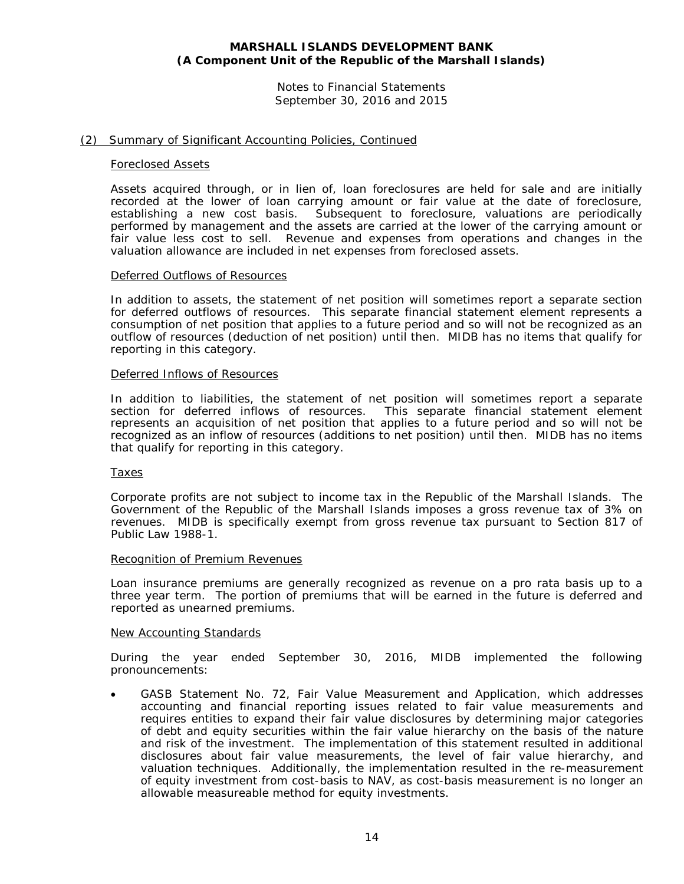Notes to Financial Statements September 30, 2016 and 2015

#### (2) Summary of Significant Accounting Policies, Continued

#### Foreclosed Assets

Assets acquired through, or in lien of, loan foreclosures are held for sale and are initially recorded at the lower of loan carrying amount or fair value at the date of foreclosure, establishing a new cost basis. Subsequent to foreclosure, valuations are periodically performed by management and the assets are carried at the lower of the carrying amount or fair value less cost to sell. Revenue and expenses from operations and changes in the valuation allowance are included in net expenses from foreclosed assets.

#### Deferred Outflows of Resources

In addition to assets, the statement of net position will sometimes report a separate section for deferred outflows of resources. This separate financial statement element represents a consumption of net position that applies to a future period and so will not be recognized as an outflow of resources (deduction of net position) until then. MIDB has no items that qualify for reporting in this category.

#### Deferred Inflows of Resources

In addition to liabilities, the statement of net position will sometimes report a separate section for deferred inflows of resources. This separate financial statement element represents an acquisition of net position that applies to a future period and so will not be recognized as an inflow of resources (additions to net position) until then. MIDB has no items that qualify for reporting in this category.

#### Taxes

Corporate profits are not subject to income tax in the Republic of the Marshall Islands. The Government of the Republic of the Marshall Islands imposes a gross revenue tax of 3% on revenues. MIDB is specifically exempt from gross revenue tax pursuant to Section 817 of Public Law 1988-1.

#### Recognition of Premium Revenues

Loan insurance premiums are generally recognized as revenue on a pro rata basis up to a three year term. The portion of premiums that will be earned in the future is deferred and reported as unearned premiums.

#### New Accounting Standards

During the year ended September 30, 2016, MIDB implemented the following pronouncements:

• GASB Statement No. 72, *Fair Value Measurement and Application,* which addresses accounting and financial reporting issues related to fair value measurements and requires entities to expand their fair value disclosures by determining major categories of debt and equity securities within the fair value hierarchy on the basis of the nature and risk of the investment. The implementation of this statement resulted in additional disclosures about fair value measurements, the level of fair value hierarchy, and valuation techniques. Additionally, the implementation resulted in the re-measurement of equity investment from cost-basis to NAV, as cost-basis measurement is no longer an allowable measureable method for equity investments.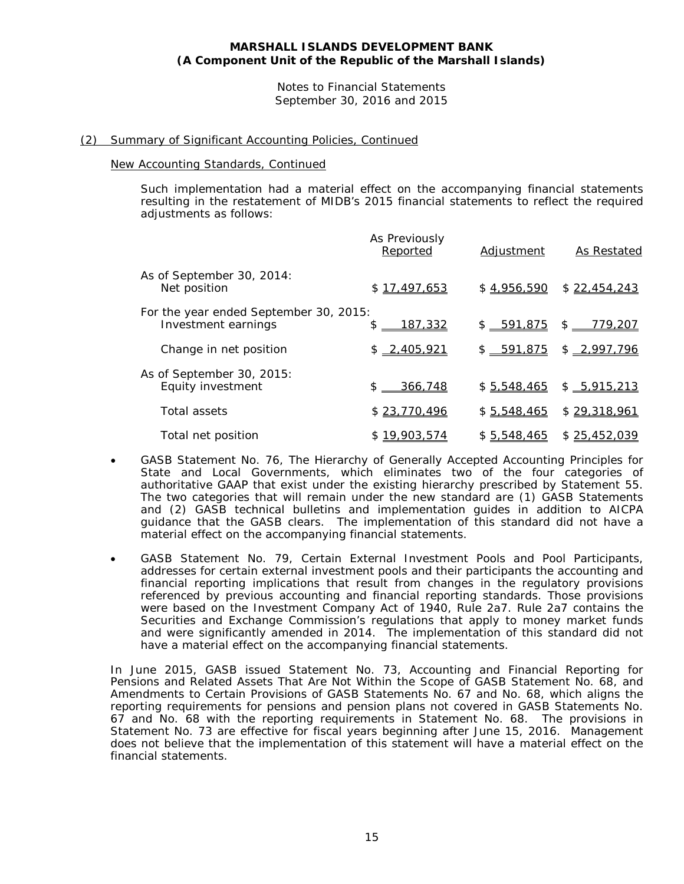Notes to Financial Statements September 30, 2016 and 2015

# (2) Summary of Significant Accounting Policies, Continued

#### New Accounting Standards, Continued

Such implementation had a material effect on the accompanying financial statements resulting in the restatement of MIDB's 2015 financial statements to reflect the required adjustments as follows:

|                                                               | As Previously<br>Reported | <b>Adjustment</b> | As Restated          |
|---------------------------------------------------------------|---------------------------|-------------------|----------------------|
| As of September 30, 2014:<br>Net position                     | \$17,497,653              | \$4,956,590       | \$22,454,243         |
| For the year ended September 30, 2015:<br>Investment earnings | <u>187,332</u><br>\$      | $$ -591,875$      | \$<br><u>779,207</u> |
| Change in net position                                        | $$ -2,405,921$            | \$ 591,875        | \$2,997,796          |
| As of September 30, 2015:<br>Equity investment                | $$ -366,748$              | \$5,548,465       | \$ 5,915,213         |
| Total assets                                                  | \$23,770,496              | \$5,548,465       | \$29,318,961         |
| Total net position                                            | \$19,903,574              | \$5,548,465       | \$25,452,039         |

- GASB Statement No. 76, *The Hierarchy of Generally Accepted Accounting Principles for State and Local Governments*, which eliminates two of the four categories of authoritative GAAP that exist under the existing hierarchy prescribed by Statement 55. The two categories that will remain under the new standard are (1) GASB Statements and (2) GASB technical bulletins and implementation guides in addition to AICPA guidance that the GASB clears. The implementation of this standard did not have a material effect on the accompanying financial statements.
- GASB Statement No. 79, *Certain External Investment Pools and Pool Participants,*  addresses for certain external investment pools and their participants the accounting and financial reporting implications that result from changes in the regulatory provisions referenced by previous accounting and financial reporting standards. Those provisions were based on the Investment Company Act of 1940, Rule 2a7. Rule 2a7 contains the Securities and Exchange Commission's regulations that apply to money market funds and were significantly amended in 2014. The implementation of this standard did not have a material effect on the accompanying financial statements.

In June 2015, GASB issued Statement No. 73, *Accounting and Financial Reporting for Pensions and Related Assets That Are Not Within the Scope of GASB Statement No. 68, and Amendments to Certain Provisions of GASB Statements No. 67 and No. 68*, which aligns the reporting requirements for pensions and pension plans not covered in GASB Statements No. 67 and No. 68 with the reporting requirements in Statement No. 68. The provisions in Statement No. 73 are effective for fiscal years beginning after June 15, 2016. Management does not believe that the implementation of this statement will have a material effect on the financial statements.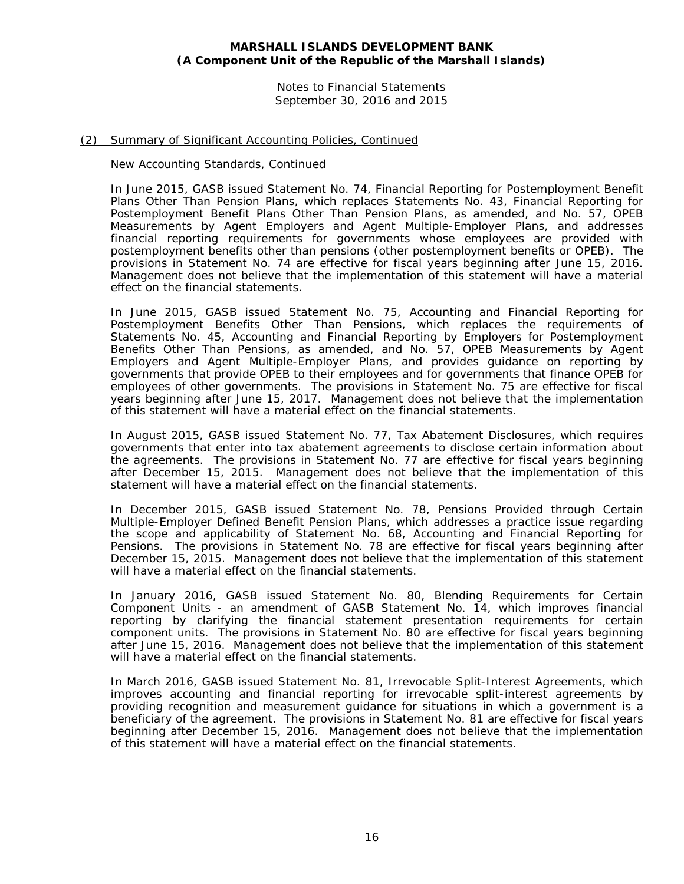Notes to Financial Statements September 30, 2016 and 2015

# (2) Summary of Significant Accounting Policies, Continued

#### New Accounting Standards, Continued

In June 2015, GASB issued Statement No. 74, *Financial Reporting for Postemployment Benefit Plans Other Than Pension Plans*, which replaces Statements No. 43, *Financial Reporting for Postemployment Benefit Plans Other Than Pension Plans*, as amended, and No. 57, *OPEB Measurements by Agent Employers and Agent Multiple-Employer Plans*, and addresses financial reporting requirements for governments whose employees are provided with postemployment benefits other than pensions (other postemployment benefits or OPEB). The provisions in Statement No. 74 are effective for fiscal years beginning after June 15, 2016. Management does not believe that the implementation of this statement will have a material effect on the financial statements.

In June 2015, GASB issued Statement No. 75, *Accounting and Financial Reporting for Postemployment Benefits Other Than Pensions*, which replaces the requirements of Statements No. 45, *Accounting and Financial Reporting by Employers for Postemployment Benefits Other Than Pensions*, as amended, and No. 57, *OPEB Measurements by Agent Employers and Agent Multiple-Employer Plans*, and provides guidance on reporting by governments that provide OPEB to their employees and for governments that finance OPEB for employees of other governments. The provisions in Statement No. 75 are effective for fiscal years beginning after June 15, 2017. Management does not believe that the implementation of this statement will have a material effect on the financial statements.

In August 2015, GASB issued Statement No. 77, *Tax Abatement Disclosures*, which requires governments that enter into tax abatement agreements to disclose certain information about the agreements. The provisions in Statement No. 77 are effective for fiscal years beginning after December 15, 2015. Management does not believe that the implementation of this statement will have a material effect on the financial statements.

In December 2015, GASB issued Statement No. 78, *Pensions Provided through Certain Multiple-Employer Defined Benefit Pension Plans*, which addresses a practice issue regarding the scope and applicability of Statement No. 68, *Accounting and Financial Reporting for Pensions*. The provisions in Statement No. 78 are effective for fiscal years beginning after December 15, 2015. Management does not believe that the implementation of this statement will have a material effect on the financial statements.

In January 2016, GASB issued Statement No. 80, *Blending Requirements for Certain Component Units - an amendment of GASB Statement No. 14*, which improves financial reporting by clarifying the financial statement presentation requirements for certain component units. The provisions in Statement No. 80 are effective for fiscal years beginning after June 15, 2016. Management does not believe that the implementation of this statement will have a material effect on the financial statements.

In March 2016, GASB issued Statement No. 81, *Irrevocable Split-Interest Agreements*, which improves accounting and financial reporting for irrevocable split-interest agreements by providing recognition and measurement guidance for situations in which a government is a beneficiary of the agreement. The provisions in Statement No. 81 are effective for fiscal years beginning after December 15, 2016. Management does not believe that the implementation of this statement will have a material effect on the financial statements.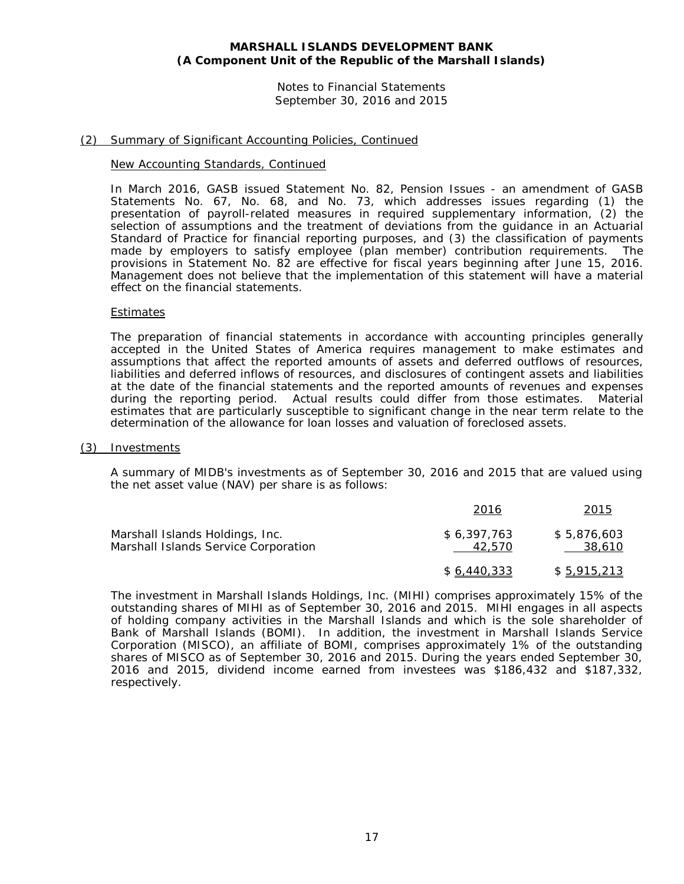Notes to Financial Statements September 30, 2016 and 2015

# (2) Summary of Significant Accounting Policies, Continued

#### New Accounting Standards, Continued

In March 2016, GASB issued Statement No. 82, *Pension Issues - an amendment of GASB Statements No. 67, No. 68, and No. 73*, which addresses issues regarding (1) the presentation of payroll-related measures in required supplementary information, (2) the selection of assumptions and the treatment of deviations from the guidance in an Actuarial Standard of Practice for financial reporting purposes, and (3) the classification of payments made by employers to satisfy employee (plan member) contribution requirements. The provisions in Statement No. 82 are effective for fiscal years beginning after June 15, 2016. Management does not believe that the implementation of this statement will have a material effect on the financial statements.

#### Estimates

The preparation of financial statements in accordance with accounting principles generally accepted in the United States of America requires management to make estimates and assumptions that affect the reported amounts of assets and deferred outflows of resources, liabilities and deferred inflows of resources, and disclosures of contingent assets and liabilities at the date of the financial statements and the reported amounts of revenues and expenses during the reporting period. Actual results could differ from those estimates. Material estimates that are particularly susceptible to significant change in the near term relate to the determination of the allowance for loan losses and valuation of foreclosed assets.

#### (3) Investments

A summary of MIDB's investments as of September 30, 2016 and 2015 that are valued using the net asset value (NAV) per share is as follows:

|                                                                         | 2016                  | 2015                  |
|-------------------------------------------------------------------------|-----------------------|-----------------------|
| Marshall Islands Holdings, Inc.<br>Marshall Islands Service Corporation | \$6.397.763<br>42.570 | \$5.876.603<br>38,610 |
|                                                                         | \$6.440.333           | \$ 5,915,213          |

The investment in Marshall Islands Holdings, Inc. (MIHI) comprises approximately 15% of the outstanding shares of MIHI as of September 30, 2016 and 2015. MIHI engages in all aspects of holding company activities in the Marshall Islands and which is the sole shareholder of Bank of Marshall Islands (BOMI). In addition, the investment in Marshall Islands Service Corporation (MISCO), an affiliate of BOMI, comprises approximately 1% of the outstanding shares of MISCO as of September 30, 2016 and 2015. During the years ended September 30, 2016 and 2015, dividend income earned from investees was \$186,432 and \$187,332, respectively.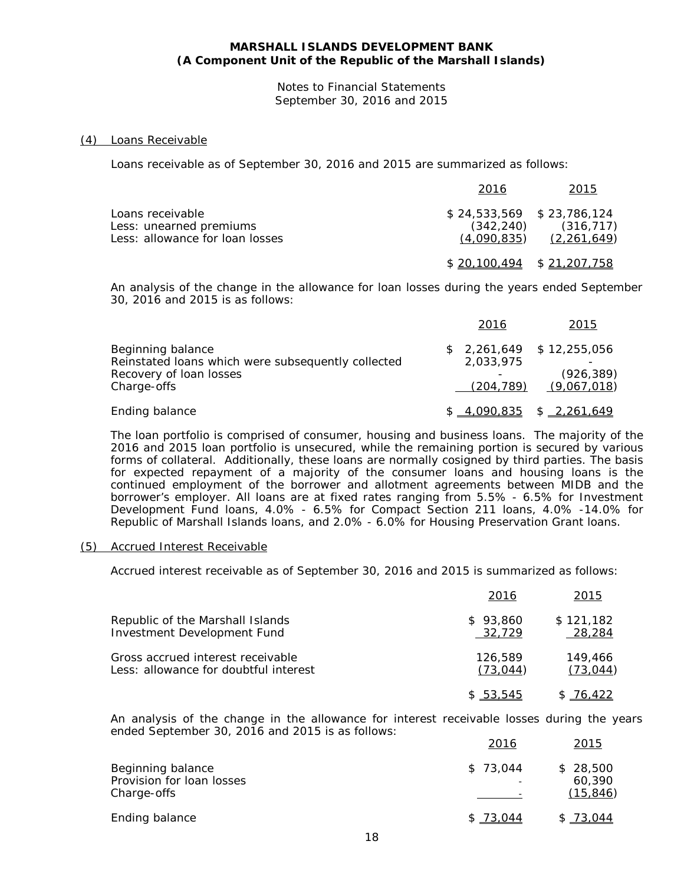Notes to Financial Statements September 30, 2016 and 2015

#### (4) Loans Receivable

Loans receivable as of September 30, 2016 and 2015 are summarized as follows:

|                                                                                | 2016                            | 2015                                                     |
|--------------------------------------------------------------------------------|---------------------------------|----------------------------------------------------------|
| Loans receivable<br>Less: unearned premiums<br>Less: allowance for loan losses | $$24,533,569$ $$23,786,124$     | $(342, 240)$ $(316, 717)$<br>$(4,090,835)$ $(2,261,649)$ |
|                                                                                | $$20.100.494 \quad $21.207.758$ |                                                          |

An analysis of the change in the allowance for loan losses during the years ended September 30, 2016 and 2015 is as follows:

|                                                    | 2016       | 2015                       |
|----------------------------------------------------|------------|----------------------------|
| Beginning balance                                  |            | $$2,261,649$ $$12,255,056$ |
| Reinstated loans which were subsequently collected | 2,033,975  |                            |
| Recovery of loan losses                            |            | (926, 389)                 |
| Charge-offs                                        | (204, 789) | (9,067,018)                |
| Ending balance                                     | 4,090,835  | \$2,261,649                |

The loan portfolio is comprised of consumer, housing and business loans. The majority of the 2016 and 2015 loan portfolio is unsecured, while the remaining portion is secured by various forms of collateral. Additionally, these loans are normally cosigned by third parties. The basis for expected repayment of a majority of the consumer loans and housing loans is the continued employment of the borrower and allotment agreements between MIDB and the borrower's employer. All loans are at fixed rates ranging from 5.5% - 6.5% for Investment Development Fund loans, 4.0% - 6.5% for Compact Section 211 loans, 4.0% -14.0% for Republic of Marshall Islands loans, and 2.0% - 6.0% for Housing Preservation Grant loans.

#### (5) Accrued Interest Receivable

Accrued interest receivable as of September 30, 2016 and 2015 is summarized as follows:

|                                       | 2016      | 2015      |
|---------------------------------------|-----------|-----------|
| Republic of the Marshall Islands      | \$93.860  | \$121,182 |
| Investment Development Fund           | 32,729    | 28,284    |
| Gross accrued interest receivable     | 126,589   | 149,466   |
| Less: allowance for doubtful interest | (73, 044) | (73, 044) |
|                                       | \$53,545  | \$76,422  |

An analysis of the change in the allowance for interest receivable losses during the years ended September 30, 2016 and 2015 is as follows:

|                                                               | <u>2016</u> | 2015                            |
|---------------------------------------------------------------|-------------|---------------------------------|
| Beginning balance<br>Provision for loan losses<br>Charge-offs | \$73.044    | \$28,500<br>60,390<br>(15, 846) |
| Ending balance                                                | \$73,044    | \$73,044                        |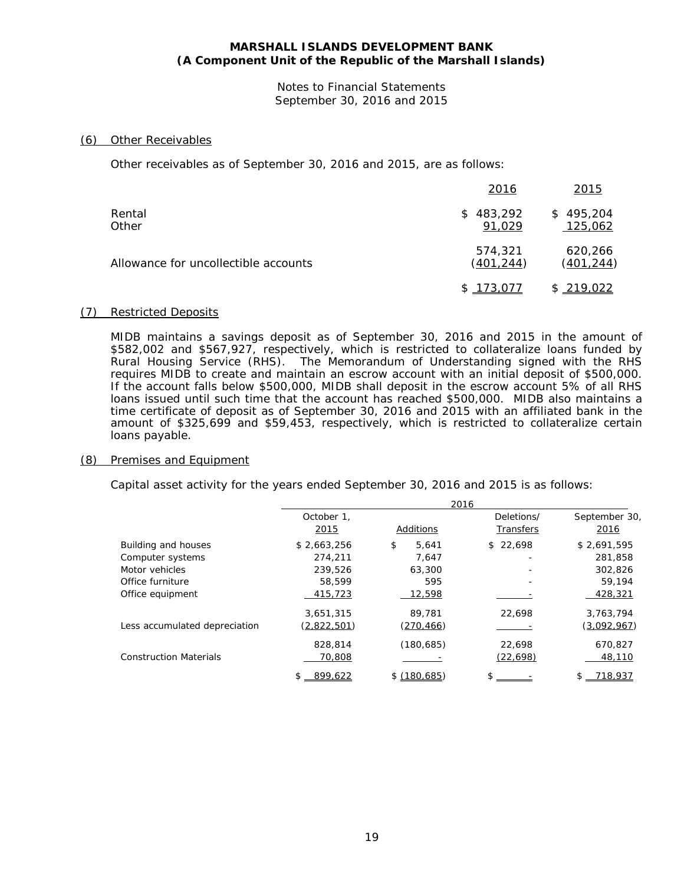Notes to Financial Statements September 30, 2016 and 2015

#### (6) Other Receivables

Other receivables as of September 30, 2016 and 2015, are as follows:

|                                      | 2016                  | 2015                        |
|--------------------------------------|-----------------------|-----------------------------|
| Rental<br>Other                      | \$483,292<br>91,029   | \$495,204<br>125,062        |
| Allowance for uncollectible accounts | 574,321<br>(401, 244) | 620,266<br><u>(401,244)</u> |
|                                      | \$173,077             | \$219,022                   |

#### (7) Restricted Deposits

MIDB maintains a savings deposit as of September 30, 2016 and 2015 in the amount of \$582,002 and \$567,927, respectively, which is restricted to collateralize loans funded by Rural Housing Service (RHS). The Memorandum of Understanding signed with the RHS requires MIDB to create and maintain an escrow account with an initial deposit of \$500,000. If the account falls below \$500,000, MIDB shall deposit in the escrow account 5% of all RHS loans issued until such time that the account has reached \$500,000. MIDB also maintains a time certificate of deposit as of September 30, 2016 and 2015 with an affiliated bank in the amount of \$325,699 and \$59,453, respectively, which is restricted to collateralize certain loans payable.

#### (8) Premises and Equipment

Capital asset activity for the years ended September 30, 2016 and 2015 is as follows:

|                               |                    | 2016        |                         |                       |
|-------------------------------|--------------------|-------------|-------------------------|-----------------------|
|                               | October 1.<br>2015 | Additions   | Deletions/<br>Transfers | September 30,<br>2016 |
| Building and houses           | \$2,663,256        | \$<br>5.641 | \$22.698                | \$2,691,595           |
| Computer systems              | 274,211            | 7,647       |                         | 281,858               |
| Motor vehicles                | 239.526            | 63,300      |                         | 302.826               |
| Office furniture              | 58,599             | 595         |                         | 59,194                |
| Office equipment              | 415,723            | 12,598      |                         | 428,321               |
|                               | 3,651,315          | 89,781      | 22.698                  | 3,763,794             |
| Less accumulated depreciation | (2,822,501)        | (270, 466)  |                         | (3,092,967)           |
|                               | 828,814            | (180, 685)  | 22,698                  | 670,827               |
| <b>Construction Materials</b> | 70,808             |             | (22, 698)               | 48,110                |
|                               | 899,622<br>\$      | \$(180.685) | \$                      | 718,937<br>S.         |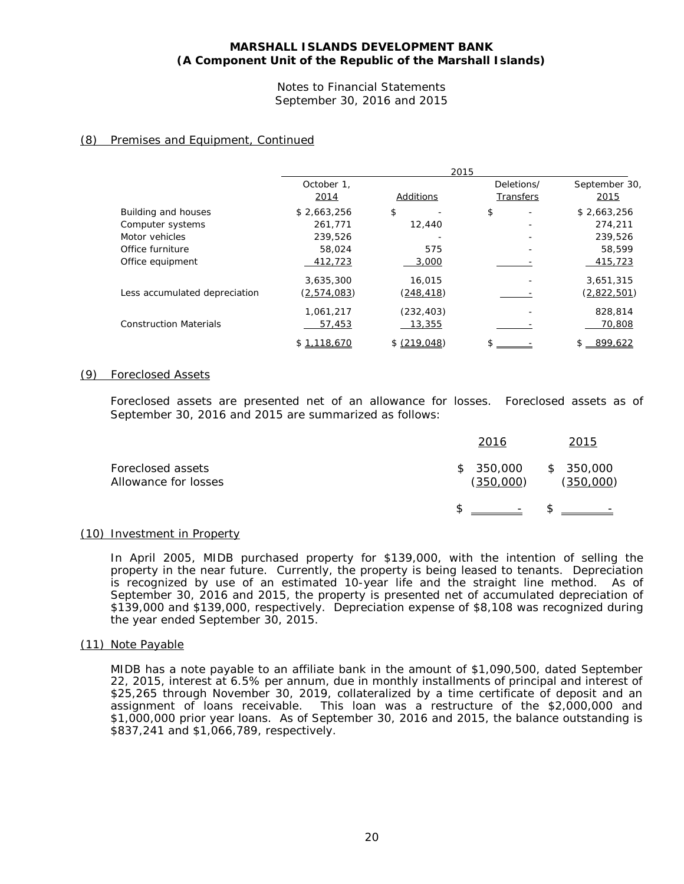Notes to Financial Statements September 30, 2016 and 2015

# (8) Premises and Equipment, Continued

|                               |                    | 2015         |                         |                       |
|-------------------------------|--------------------|--------------|-------------------------|-----------------------|
|                               | October 1.<br>2014 | Additions    | Deletions/<br>Transfers | September 30,<br>2015 |
| Building and houses           | \$2,663,256        | \$           | \$                      | \$2,663,256           |
| Computer systems              | 261,771            | 12,440       |                         | 274,211               |
| Motor vehicles                | 239,526            |              |                         | 239.526               |
| Office furniture              | 58,024             | 575          |                         | 58,599                |
| Office equipment              | 412,723            | 3,000        |                         | 415,723               |
|                               | 3,635,300          | 16,015       |                         | 3,651,315             |
| Less accumulated depreciation | <u>(2,574,083)</u> | (248, 418)   |                         | (2,822,501)           |
|                               | 1,061,217          | (232, 403)   |                         | 828,814               |
| <b>Construction Materials</b> | 57,453             | 13,355       |                         | 70,808                |
|                               | \$1.118.670        | \$ (219.048) |                         | \$ 899.622            |

#### (9) Foreclosed Assets

Foreclosed assets are presented net of an allowance for losses. Foreclosed assets as of September 30, 2016 and 2015 are summarized as follows:

|                                           | 2016                   | 2015                   |
|-------------------------------------------|------------------------|------------------------|
| Foreclosed assets<br>Allowance for losses | \$350,000<br>(350,000) | \$350,000<br>(350,000) |
|                                           | $\mathbb{S}$ -         | $\mathbb{S}$ -         |

### (10) Investment in Property

In April 2005, MIDB purchased property for \$139,000, with the intention of selling the property in the near future. Currently, the property is being leased to tenants. Depreciation is recognized by use of an estimated 10-year life and the straight line method. As of September 30, 2016 and 2015, the property is presented net of accumulated depreciation of \$139,000 and \$139,000, respectively. Depreciation expense of \$8,108 was recognized during the year ended September 30, 2015.

#### (11) Note Payable

MIDB has a note payable to an affiliate bank in the amount of \$1,090,500, dated September 22, 2015, interest at 6.5% per annum, due in monthly installments of principal and interest of \$25,265 through November 30, 2019, collateralized by a time certificate of deposit and an assignment of loans receivable. This loan was a restructure of the \$2,000,000 and \$1,000,000 prior year loans. As of September 30, 2016 and 2015, the balance outstanding is \$837,241 and \$1,066,789, respectively.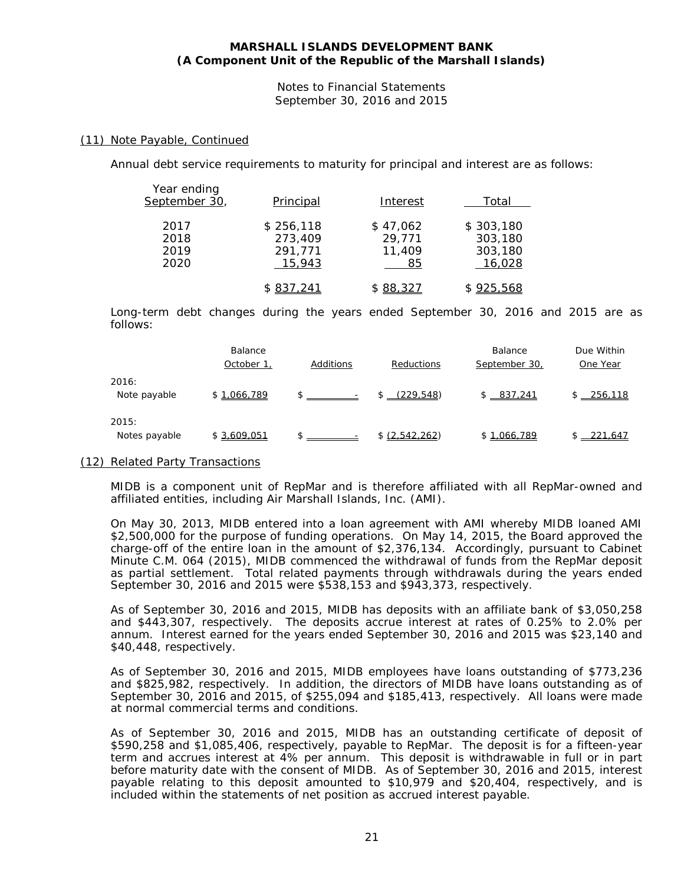Notes to Financial Statements September 30, 2016 and 2015

#### (11) Note Payable, Continued

Annual debt service requirements to maturity for principal and interest are as follows:

| Year ending<br>September 30, | Principal                                 | Interest                           | Total                                     |
|------------------------------|-------------------------------------------|------------------------------------|-------------------------------------------|
| 2017<br>2018<br>2019<br>2020 | \$256,118<br>273,409<br>291,771<br>15,943 | \$47,062<br>29,771<br>11,409<br>85 | \$303,180<br>303,180<br>303,180<br>16,028 |
|                              | \$837,241                                 | \$88,327                           | \$925,568                                 |

Long-term debt changes during the years ended September 30, 2016 and 2015 are as follows:

|                        | Balance<br>October 1 | Additions | <b>Reductions</b> | <b>Balance</b><br>September 30, | Due Within<br>One Year |
|------------------------|----------------------|-----------|-------------------|---------------------------------|------------------------|
| 2016:<br>Note payable  | \$1.066.789          |           | (229.548)         | \$ 837.241                      | $$ -256.118$           |
| 2015:<br>Notes payable | \$3.609.051          |           | \$ (2,542,262)    | \$1.066.789                     | 221.647                |

#### (12) Related Party Transactions

MIDB is a component unit of RepMar and is therefore affiliated with all RepMar-owned and affiliated entities, including Air Marshall Islands, Inc. (AMI).

On May 30, 2013, MIDB entered into a loan agreement with AMI whereby MIDB loaned AMI \$2,500,000 for the purpose of funding operations. On May 14, 2015, the Board approved the charge-off of the entire loan in the amount of \$2,376,134. Accordingly, pursuant to Cabinet Minute C.M. 064 (2015), MIDB commenced the withdrawal of funds from the RepMar deposit as partial settlement. Total related payments through withdrawals during the years ended September 30, 2016 and 2015 were \$538,153 and \$943,373, respectively.

As of September 30, 2016 and 2015, MIDB has deposits with an affiliate bank of \$3,050,258 and \$443,307, respectively. The deposits accrue interest at rates of 0.25% to 2.0% per annum. Interest earned for the years ended September 30, 2016 and 2015 was \$23,140 and \$40,448, respectively.

As of September 30, 2016 and 2015, MIDB employees have loans outstanding of \$773,236 and \$825,982, respectively. In addition, the directors of MIDB have loans outstanding as of September 30, 2016 and 2015, of \$255,094 and \$185,413, respectively. All loans were made at normal commercial terms and conditions.

As of September 30, 2016 and 2015, MIDB has an outstanding certificate of deposit of \$590,258 and \$1,085,406, respectively, payable to RepMar. The deposit is for a fifteen-year term and accrues interest at 4% per annum. This deposit is withdrawable in full or in part before maturity date with the consent of MIDB. As of September 30, 2016 and 2015, interest payable relating to this deposit amounted to \$10,979 and \$20,404, respectively, and is included within the statements of net position as accrued interest payable.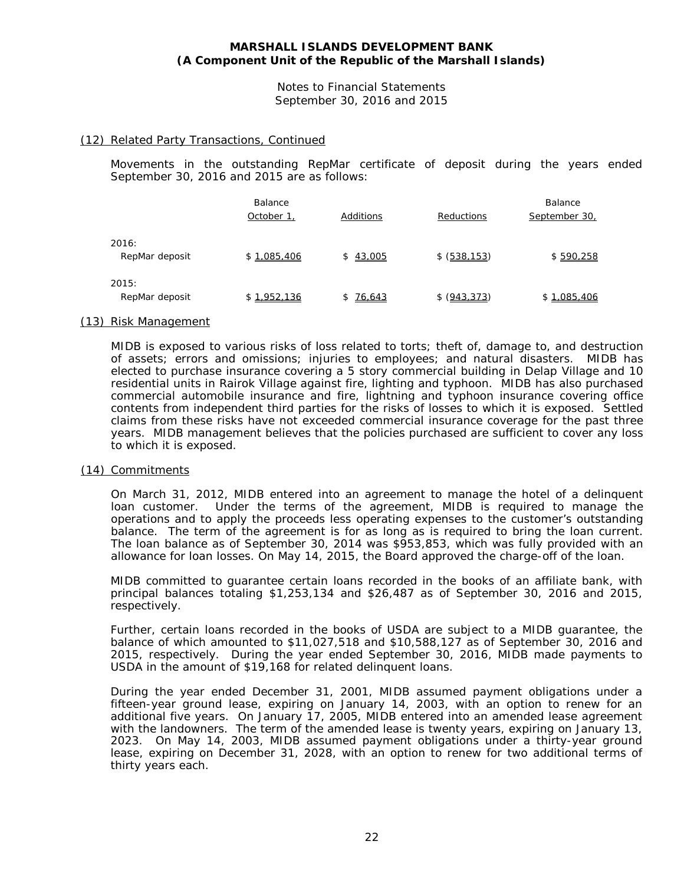Notes to Financial Statements September 30, 2016 and 2015

#### (12) Related Party Transactions, Continued

Movements in the outstanding RepMar certificate of deposit during the years ended September 30, 2016 and 2015 are as follows:

|                         | <b>Balance</b><br>October 1, | Additions | <b>Reductions</b> | <b>Balance</b><br>September 30, |
|-------------------------|------------------------------|-----------|-------------------|---------------------------------|
| 2016:<br>RepMar deposit | \$1.085.406                  | \$43.005  | \$ (538.153)      | \$590.258                       |
| 2015:<br>RepMar deposit | \$1.952.136                  | \$76,643  | \$ (943, 373)     | \$1.085.406                     |

#### (13) Risk Management

MIDB is exposed to various risks of loss related to torts; theft of, damage to, and destruction of assets; errors and omissions; injuries to employees; and natural disasters. MIDB has elected to purchase insurance covering a 5 story commercial building in Delap Village and 10 residential units in Rairok Village against fire, lighting and typhoon. MIDB has also purchased commercial automobile insurance and fire, lightning and typhoon insurance covering office contents from independent third parties for the risks of losses to which it is exposed. Settled claims from these risks have not exceeded commercial insurance coverage for the past three years. MIDB management believes that the policies purchased are sufficient to cover any loss to which it is exposed.

#### (14) Commitments

On March 31, 2012, MIDB entered into an agreement to manage the hotel of a delinquent loan customer. Under the terms of the agreement, MIDB is required to manage the operations and to apply the proceeds less operating expenses to the customer's outstanding balance. The term of the agreement is for as long as is required to bring the loan current. The loan balance as of September 30, 2014 was \$953,853, which was fully provided with an allowance for loan losses. On May 14, 2015, the Board approved the charge-off of the loan.

MIDB committed to guarantee certain loans recorded in the books of an affiliate bank, with principal balances totaling \$1,253,134 and \$26,487 as of September 30, 2016 and 2015, respectively.

Further, certain loans recorded in the books of USDA are subject to a MIDB guarantee, the balance of which amounted to \$11,027,518 and \$10,588,127 as of September 30, 2016 and 2015, respectively. During the year ended September 30, 2016, MIDB made payments to USDA in the amount of \$19,168 for related delinquent loans.

During the year ended December 31, 2001, MIDB assumed payment obligations under a fifteen-year ground lease, expiring on January 14, 2003, with an option to renew for an additional five years. On January 17, 2005, MIDB entered into an amended lease agreement with the landowners. The term of the amended lease is twenty years, expiring on January 13, 2023. On May 14, 2003, MIDB assumed payment obligations under a thirty-year ground lease, expiring on December 31, 2028, with an option to renew for two additional terms of thirty years each.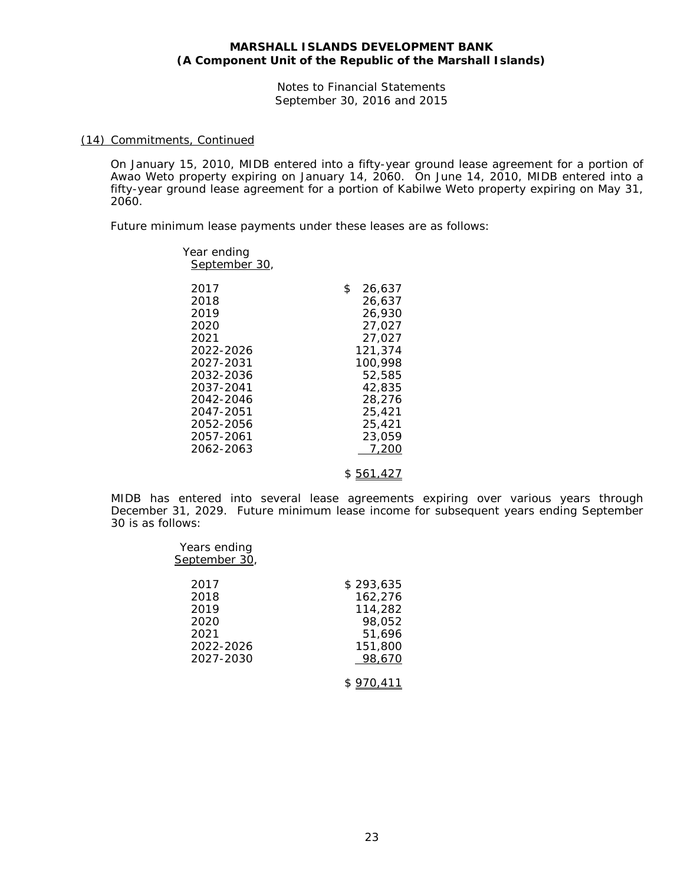Notes to Financial Statements September 30, 2016 and 2015

#### (14) Commitments, Continued

On January 15, 2010, MIDB entered into a fifty-year ground lease agreement for a portion of Awao Weto property expiring on January 14, 2060. On June 14, 2010, MIDB entered into a fifty-year ground lease agreement for a portion of Kabilwe Weto property expiring on May 31, 2060.

Future minimum lease payments under these leases are as follows:

| Year ending<br>September 30,                                                                                                                              |                                                                                                                                                 |
|-----------------------------------------------------------------------------------------------------------------------------------------------------------|-------------------------------------------------------------------------------------------------------------------------------------------------|
| 2017<br>2018<br>2019<br>2020<br>2021<br>2022-2026<br>2027-2031<br>2032-2036<br>2037-2041<br>2042-2046<br>2047-2051<br>2052-2056<br>2057-2061<br>2062-2063 | \$<br>26.637<br>26,637<br>26,930<br>27.027<br>27.027<br>121,374<br>100,998<br>52,585<br>42,835<br>28,276<br>25,421<br>25,421<br>23,059<br>7.200 |
|                                                                                                                                                           |                                                                                                                                                 |

\$ 561,427

MIDB has entered into several lease agreements expiring over various years through December 31, 2029. Future minimum lease income for subsequent years ending September 30 is as follows:

| Years ending<br>September 30, |           |
|-------------------------------|-----------|
| 2017                          | \$293,635 |
| 2018                          | 162,276   |
| 2019                          | 114,282   |
| 2020                          | 98,052    |
| 2021                          | 51,696    |
| 2022-2026                     | 151,800   |
| 2027-2030                     | 98.670    |
|                               |           |

\$ 970,411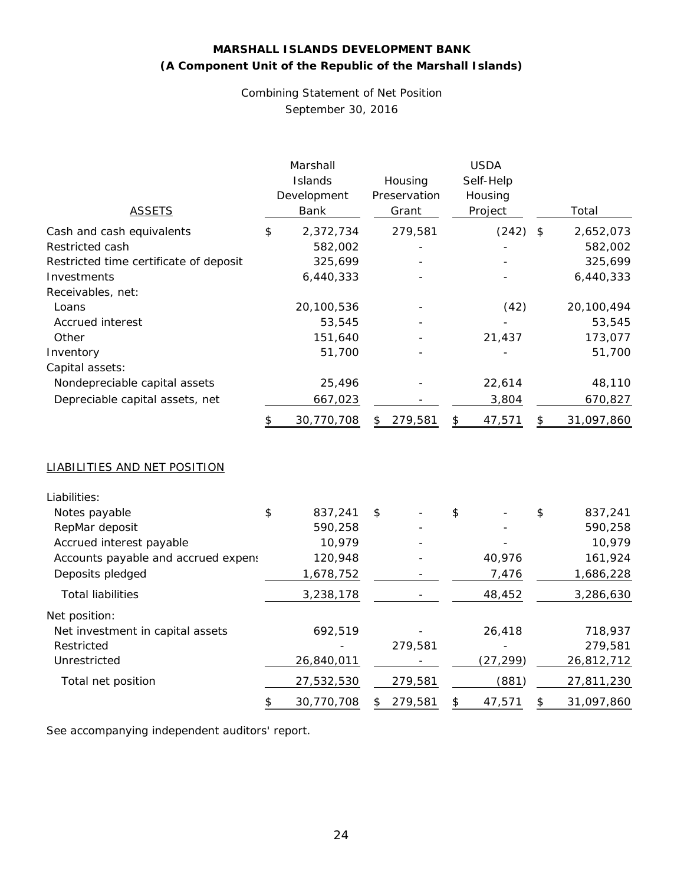Combining Statement of Net Position September 30, 2016

| <b>ASSETS</b>                                                    |    | Marshall<br>Islands<br>Development<br>Bank | Housing<br>Preservation<br>Grant |                                        | <b>USDA</b><br>Self-Help<br>Housing<br>Project | Total            |
|------------------------------------------------------------------|----|--------------------------------------------|----------------------------------|----------------------------------------|------------------------------------------------|------------------|
| Cash and cash equivalents                                        | \$ | 2,372,734                                  | 279,581                          |                                        | (242)                                          | \$<br>2,652,073  |
| Restricted cash                                                  |    | 582,002                                    |                                  |                                        |                                                | 582,002          |
| Restricted time certificate of deposit                           |    | 325,699                                    |                                  |                                        |                                                | 325,699          |
| Investments                                                      |    | 6,440,333                                  |                                  |                                        |                                                | 6,440,333        |
| Receivables, net:                                                |    |                                            |                                  |                                        |                                                |                  |
| Loans                                                            |    | 20,100,536                                 |                                  |                                        | (42)                                           | 20,100,494       |
| Accrued interest                                                 |    | 53,545                                     |                                  |                                        |                                                | 53,545           |
| Other                                                            |    | 151,640                                    |                                  |                                        | 21,437                                         | 173,077          |
| Inventory                                                        |    | 51,700                                     |                                  |                                        |                                                | 51,700           |
| Capital assets:                                                  |    |                                            |                                  |                                        |                                                |                  |
| Nondepreciable capital assets<br>Depreciable capital assets, net |    | 25,496                                     |                                  |                                        | 22,614                                         | 48,110           |
|                                                                  |    | 667,023                                    |                                  |                                        | 3,804                                          | 670,827          |
|                                                                  |    | 30,770,708                                 | \$<br>279,581                    | $\boldsymbol{\boldsymbol{\mathsf{S}}}$ | 47,571                                         | \$<br>31,097,860 |
| LIABILITIES AND NET POSITION                                     |    |                                            |                                  |                                        |                                                |                  |
| Liabilities:                                                     |    |                                            |                                  |                                        |                                                |                  |
| Notes payable                                                    | \$ | 837,241                                    | \$                               | \$                                     |                                                | \$<br>837,241    |
| RepMar deposit                                                   |    | 590,258                                    |                                  |                                        |                                                | 590,258          |
| Accrued interest payable                                         |    | 10,979                                     |                                  |                                        |                                                | 10,979           |
| Accounts payable and accrued expens                              |    | 120,948                                    |                                  |                                        | 40,976                                         | 161,924          |
| Deposits pledged                                                 |    | 1,678,752                                  |                                  |                                        | 7,476                                          | 1,686,228        |
| <b>Total liabilities</b>                                         |    | 3,238,178                                  |                                  |                                        | 48,452                                         | 3,286,630        |
| Net position:                                                    |    |                                            |                                  |                                        |                                                |                  |
| Net investment in capital assets                                 |    | 692,519                                    |                                  |                                        | 26,418                                         | 718,937          |
| Restricted                                                       |    |                                            | 279,581                          |                                        |                                                | 279,581          |
| Unrestricted                                                     |    | 26,840,011                                 |                                  |                                        | (27, 299)                                      | 26,812,712       |
| Total net position                                               |    | 27,532,530                                 | 279,581                          |                                        | (881)                                          | 27,811,230       |
|                                                                  | \$ | 30,770,708                                 | \$<br>279,581                    | \$                                     | 47,571                                         | \$<br>31,097,860 |

See accompanying independent auditors' report.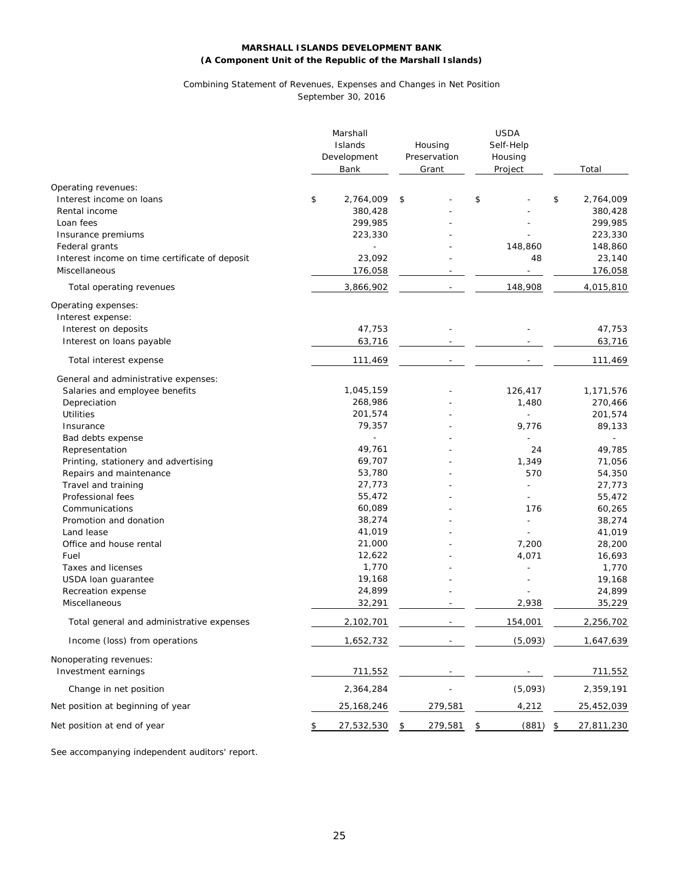# Combining Statement of Revenues, Expenses and Changes in Net Position

September 30, 2016

|                                                | Marshall<br>Islands<br>Development<br>Bank | Housing<br>Preservation<br>Grant |         | <b>USDA</b><br>Self-Help<br>Housing<br>Project | Total            |
|------------------------------------------------|--------------------------------------------|----------------------------------|---------|------------------------------------------------|------------------|
| Operating revenues:                            |                                            |                                  |         |                                                |                  |
| Interest income on loans                       | \$<br>2,764,009                            | \$                               |         | \$                                             | \$<br>2,764,009  |
| Rental income                                  | 380,428                                    |                                  |         |                                                | 380,428          |
| Loan fees                                      | 299,985                                    |                                  |         |                                                | 299,985          |
| Insurance premiums                             | 223,330                                    |                                  |         |                                                | 223,330          |
| Federal grants                                 |                                            |                                  |         | 148,860                                        | 148,860          |
| Interest income on time certificate of deposit | 23,092                                     |                                  |         | 48                                             | 23,140           |
| Miscellaneous                                  | 176,058                                    |                                  |         | $\overline{\phantom{a}}$                       | 176,058          |
| Total operating revenues                       | 3,866,902                                  |                                  |         | 148,908                                        | 4,015,810        |
| Operating expenses:                            |                                            |                                  |         |                                                |                  |
| Interest expense:                              |                                            |                                  |         |                                                |                  |
| Interest on deposits                           | 47,753                                     |                                  |         |                                                | 47,753           |
| Interest on loans payable                      | 63,716                                     |                                  |         |                                                | 63,716           |
| Total interest expense                         | 111,469                                    |                                  |         |                                                | 111,469          |
| General and administrative expenses:           |                                            |                                  |         |                                                |                  |
| Salaries and employee benefits                 | 1,045,159                                  |                                  |         | 126,417                                        | 1,171,576        |
| Depreciation                                   | 268,986                                    |                                  |         | 1,480                                          | 270,466          |
| <b>Utilities</b>                               | 201,574                                    |                                  |         |                                                | 201,574          |
| Insurance                                      | 79,357                                     |                                  |         | 9,776                                          | 89,133           |
| Bad debts expense                              |                                            |                                  |         |                                                | ÷.               |
| Representation                                 | 49,761                                     |                                  |         | 24                                             | 49,785           |
| Printing, stationery and advertising           | 69,707                                     |                                  |         | 1,349                                          | 71,056           |
| Repairs and maintenance                        | 53,780                                     |                                  |         | 570                                            | 54,350           |
| Travel and training                            | 27,773                                     |                                  |         |                                                | 27,773           |
| Professional fees                              | 55,472                                     |                                  |         |                                                | 55,472           |
| Communications                                 | 60,089                                     |                                  |         | 176                                            | 60,265           |
| Promotion and donation                         | 38,274                                     |                                  |         |                                                | 38,274           |
| Land lease                                     | 41,019                                     |                                  |         |                                                | 41,019           |
| Office and house rental                        | 21,000                                     |                                  |         | 7,200                                          | 28,200           |
| Fuel                                           | 12,622                                     |                                  |         | 4,071                                          | 16,693           |
| Taxes and licenses                             | 1,770                                      |                                  |         |                                                | 1,770            |
| USDA loan guarantee                            | 19,168                                     |                                  |         |                                                | 19,168           |
| Recreation expense                             | 24,899                                     |                                  |         |                                                | 24,899           |
| Miscellaneous                                  | 32,291                                     |                                  |         | 2,938                                          | 35,229           |
| Total general and administrative expenses      | 2,102,701                                  |                                  |         | 154,001                                        | 2,256,702        |
| Income (loss) from operations                  | 1,652,732                                  |                                  |         | (5,093)                                        | 1,647,639        |
| Nonoperating revenues:                         |                                            |                                  |         |                                                |                  |
| Investment earnings                            | 711,552                                    |                                  |         |                                                | 711,552          |
| Change in net position                         | 2,364,284                                  |                                  |         | (5,093)                                        | 2,359,191        |
| Net position at beginning of year              | 25, 168, 246                               |                                  | 279,581 | 4,212                                          | 25,452,039       |
| Net position at end of year                    | \$<br>27,532,530                           | \$                               | 279,581 | \$<br>(881)                                    | \$<br>27,811,230 |

See accompanying independent auditors' report.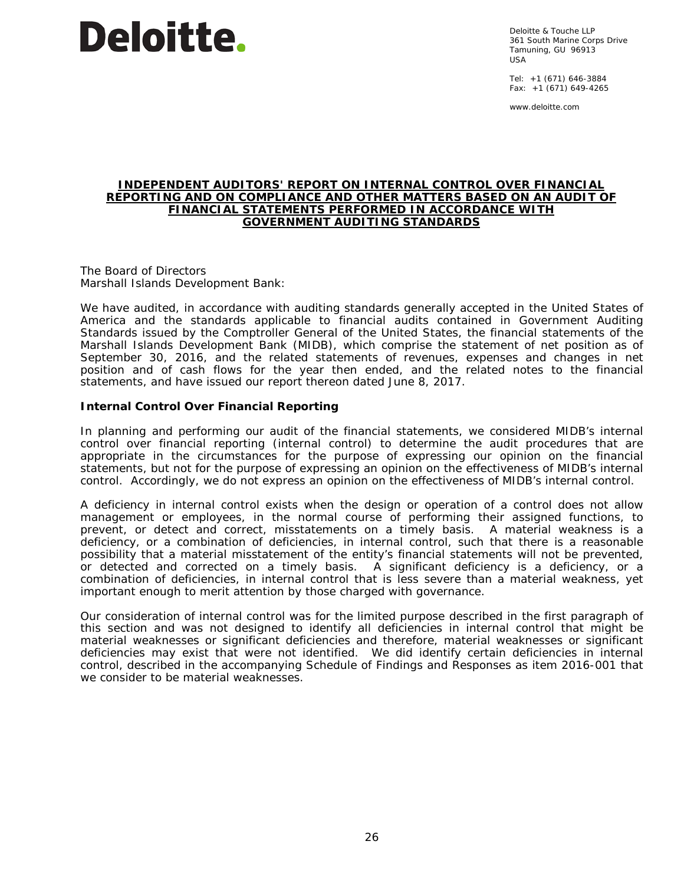

Deloitte & Touche LLP 361 South Marine Corps Drive Tamuning, GU 96913 USA

Tel: +1 (671) 646-3884 Fax: +1 (671) 649-4265

www.deloitte.com

#### **INDEPENDENT AUDITORS' REPORT ON INTERNAL CONTROL OVER FINANCIAL REPORTING AND ON COMPLIANCE AND OTHER MATTERS BASED ON AN AUDIT OF FINANCIAL STATEMENTS PERFORMED IN ACCORDANCE WITH**  *GOVERNMENT AUDITING STANDARDS*

The Board of Directors Marshall Islands Development Bank:

We have audited, in accordance with auditing standards generally accepted in the United States of America and the standards applicable to financial audits contained in *Government Auditing Standards* issued by the Comptroller General of the United States, the financial statements of the Marshall Islands Development Bank (MIDB), which comprise the statement of net position as of September 30, 2016, and the related statements of revenues, expenses and changes in net position and of cash flows for the year then ended, and the related notes to the financial statements, and have issued our report thereon dated June 8, 2017.

#### **Internal Control Over Financial Reporting**

In planning and performing our audit of the financial statements, we considered MIDB's internal control over financial reporting (internal control) to determine the audit procedures that are appropriate in the circumstances for the purpose of expressing our opinion on the financial statements, but not for the purpose of expressing an opinion on the effectiveness of MIDB's internal control. Accordingly, we do not express an opinion on the effectiveness of MIDB's internal control.

A *deficiency in internal control* exists when the design or operation of a control does not allow management or employees, in the normal course of performing their assigned functions, to prevent, or detect and correct, misstatements on a timely basis. A *material weakness* is a deficiency, or a combination of deficiencies, in internal control, such that there is a reasonable possibility that a material misstatement of the entity's financial statements will not be prevented, or detected and corrected on a timely basis. A *significant deficiency* is a deficiency, or a combination of deficiencies, in internal control that is less severe than a material weakness, yet important enough to merit attention by those charged with governance.

Our consideration of internal control was for the limited purpose described in the first paragraph of this section and was not designed to identify all deficiencies in internal control that might be material weaknesses or significant deficiencies and therefore, material weaknesses or significant deficiencies may exist that were not identified. We did identify certain deficiencies in internal control, described in the accompanying Schedule of Findings and Responses as item 2016-001 that we consider to be material weaknesses.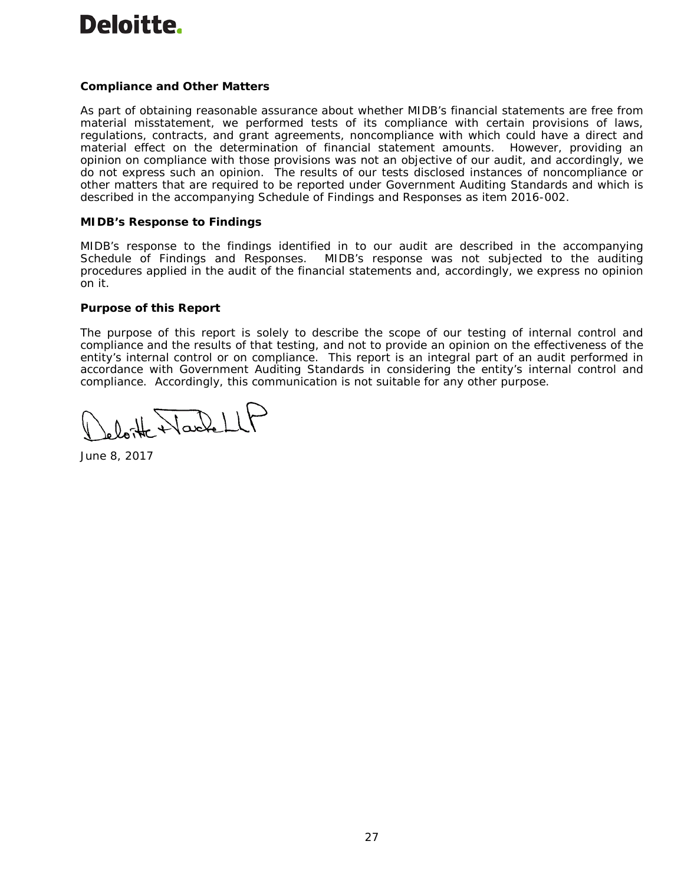# **Deloitte.**

# **Compliance and Other Matters**

As part of obtaining reasonable assurance about whether MIDB's financial statements are free from material misstatement, we performed tests of its compliance with certain provisions of laws, regulations, contracts, and grant agreements, noncompliance with which could have a direct and material effect on the determination of financial statement amounts. However, providing an opinion on compliance with those provisions was not an objective of our audit, and accordingly, we do not express such an opinion. The results of our tests disclosed instances of noncompliance or other matters that are required to be reported under *Government Auditing Standards* and which is described in the accompanying Schedule of Findings and Responses as item 2016-002.

#### **MIDB's Response to Findings**

MIDB's response to the findings identified in to our audit are described in the accompanying Schedule of Findings and Responses. MIDB's response was not subjected to the auditing procedures applied in the audit of the financial statements and, accordingly, we express no opinion on it.

# **Purpose of this Report**

The purpose of this report is solely to describe the scope of our testing of internal control and compliance and the results of that testing, and not to provide an opinion on the effectiveness of the entity's internal control or on compliance. This report is an integral part of an audit performed in accordance with *Government Auditing Standards* in considering the entity's internal control and compliance. Accordingly, this communication is not suitable for any other purpose.

Ost Harlell

June 8, 2017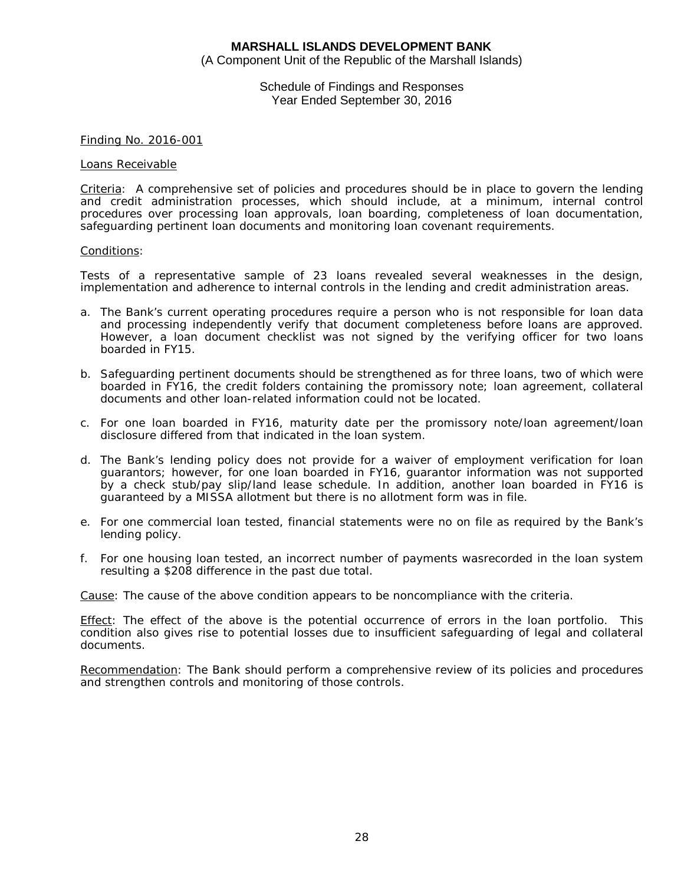(A Component Unit of the Republic of the Marshall Islands)

Schedule of Findings and Responses Year Ended September 30, 2016

#### Finding No. 2016-001

#### Loans Receivable

Criteria: A comprehensive set of policies and procedures should be in place to govern the lending and credit administration processes, which should include, at a minimum, internal control procedures over processing loan approvals, loan boarding, completeness of loan documentation, safeguarding pertinent loan documents and monitoring loan covenant requirements.

#### Conditions:

Tests of a representative sample of 23 loans revealed several weaknesses in the design, implementation and adherence to internal controls in the lending and credit administration areas.

- a. The Bank's current operating procedures require a person who is not responsible for loan data and processing independently verify that document completeness before loans are approved. However, a loan document checklist was not signed by the verifying officer for two loans boarded in FY15.
- b. Safeguarding pertinent documents should be strengthened as for three loans, two of which were boarded in FY16, the credit folders containing the promissory note; loan agreement, collateral documents and other loan-related information could not be located.
- c. For one loan boarded in FY16, maturity date per the promissory note/loan agreement/loan disclosure differed from that indicated in the loan system.
- d. The Bank's lending policy does not provide for a waiver of employment verification for loan guarantors; however, for one loan boarded in FY16, guarantor information was not supported by a check stub/pay slip/land lease schedule. In addition, another loan boarded in FY16 is guaranteed by a MISSA allotment but there is no allotment form was in file.
- e. For one commercial loan tested, financial statements were no on file as required by the Bank's lending policy.
- f. For one housing loan tested, an incorrect number of payments wasrecorded in the loan system resulting a \$208 difference in the past due total.

Cause: The cause of the above condition appears to be noncompliance with the criteria.

Effect: The effect of the above is the potential occurrence of errors in the loan portfolio. This condition also gives rise to potential losses due to insufficient safeguarding of legal and collateral documents.

Recommendation: The Bank should perform a comprehensive review of its policies and procedures and strengthen controls and monitoring of those controls.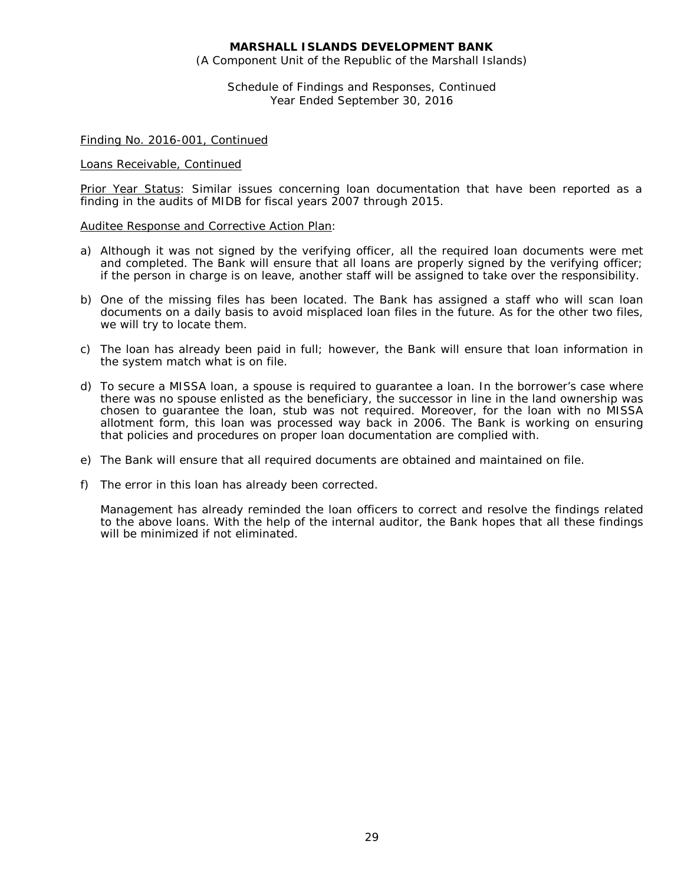(A Component Unit of the Republic of the Marshall Islands)

Schedule of Findings and Responses, Continued Year Ended September 30, 2016

#### Finding No. 2016-001, Continued

#### Loans Receivable, Continued

Prior Year Status: Similar issues concerning loan documentation that have been reported as a finding in the audits of MIDB for fiscal years 2007 through 2015.

#### Auditee Response and Corrective Action Plan:

- a) Although it was not signed by the verifying officer, all the required loan documents were met and completed. The Bank will ensure that all loans are properly signed by the verifying officer; if the person in charge is on leave, another staff will be assigned to take over the responsibility.
- b) One of the missing files has been located. The Bank has assigned a staff who will scan loan documents on a daily basis to avoid misplaced loan files in the future. As for the other two files, we will try to locate them.
- c) The loan has already been paid in full; however, the Bank will ensure that loan information in the system match what is on file.
- d) To secure a MISSA loan, a spouse is required to guarantee a loan. In the borrower's case where there was no spouse enlisted as the beneficiary, the successor in line in the land ownership was chosen to guarantee the loan, stub was not required. Moreover, for the loan with no MISSA allotment form, this loan was processed way back in 2006. The Bank is working on ensuring that policies and procedures on proper loan documentation are complied with.
- e) The Bank will ensure that all required documents are obtained and maintained on file.
- f) The error in this loan has already been corrected.

Management has already reminded the loan officers to correct and resolve the findings related to the above loans. With the help of the internal auditor, the Bank hopes that all these findings will be minimized if not eliminated.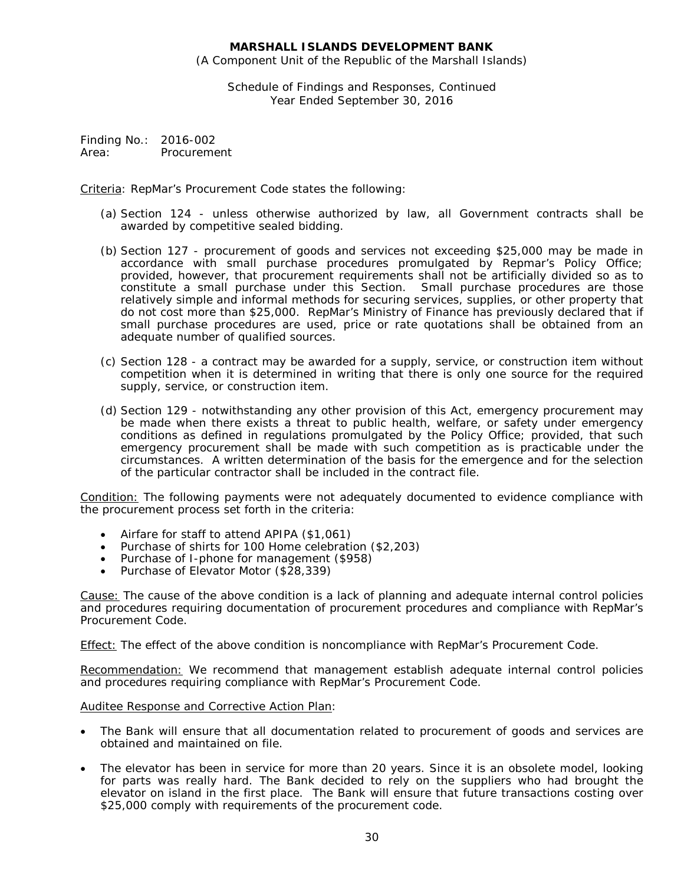(A Component Unit of the Republic of the Marshall Islands)

Schedule of Findings and Responses, Continued Year Ended September 30, 2016

Finding No.: 2016-002 Area: Procurement

Criteria: RepMar's Procurement Code states the following:

- (a) Section 124 unless otherwise authorized by law, all Government contracts shall be awarded by competitive sealed bidding.
- (b) Section 127 procurement of goods and services not exceeding \$25,000 may be made in accordance with small purchase procedures promulgated by Repmar's Policy Office; provided, however, that procurement requirements shall not be artificially divided so as to constitute a small purchase under this Section. Small purchase procedures are those relatively simple and informal methods for securing services, supplies, or other property that do not cost more than \$25,000. RepMar's Ministry of Finance has previously declared that if small purchase procedures are used, price or rate quotations shall be obtained from an adequate number of qualified sources.
- (c) Section 128 a contract may be awarded for a supply, service, or construction item without competition when it is determined in writing that there is only one source for the required supply, service, or construction item.
- (d) Section 129 notwithstanding any other provision of this Act, emergency procurement may be made when there exists a threat to public health, welfare, or safety under emergency conditions as defined in regulations promulgated by the Policy Office; provided, that such emergency procurement shall be made with such competition as is practicable under the circumstances. A written determination of the basis for the emergence and for the selection of the particular contractor shall be included in the contract file.

Condition: The following payments were not adequately documented to evidence compliance with the procurement process set forth in the criteria:

- Airfare for staff to attend APIPA (\$1,061)
- Purchase of shirts for 100 Home celebration (\$2,203)
- Purchase of I-phone for management (\$958)
- Purchase of Elevator Motor (\$28,339)

Cause: The cause of the above condition is a lack of planning and adequate internal control policies and procedures requiring documentation of procurement procedures and compliance with RepMar's Procurement Code.

Effect: The effect of the above condition is noncompliance with RepMar's Procurement Code.

Recommendation: We recommend that management establish adequate internal control policies and procedures requiring compliance with RepMar's Procurement Code.

#### Auditee Response and Corrective Action Plan:

- The Bank will ensure that all documentation related to procurement of goods and services are obtained and maintained on file.
- The elevator has been in service for more than 20 years. Since it is an obsolete model, looking for parts was really hard. The Bank decided to rely on the suppliers who had brought the elevator on island in the first place. The Bank will ensure that future transactions costing over \$25,000 comply with requirements of the procurement code.